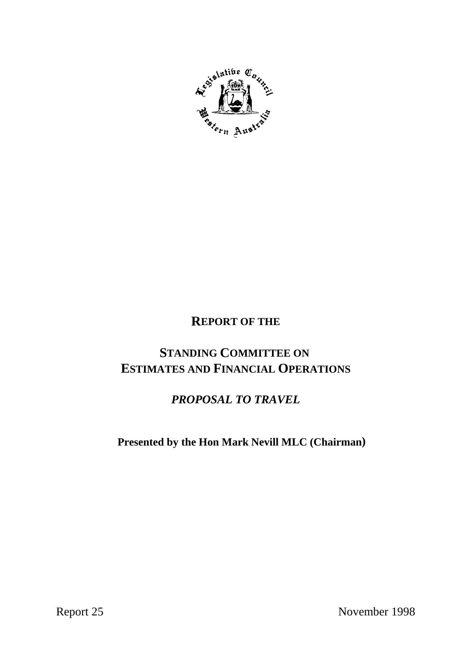

# **REPORT OF THE**

# **STANDING COMMITTEE ON ESTIMATES AND FINANCIAL OPERATIONS**

# *PROPOSAL TO TRAVEL*

 **Presented by the Hon Mark Nevill MLC (Chairman)**

Report 25 November 1998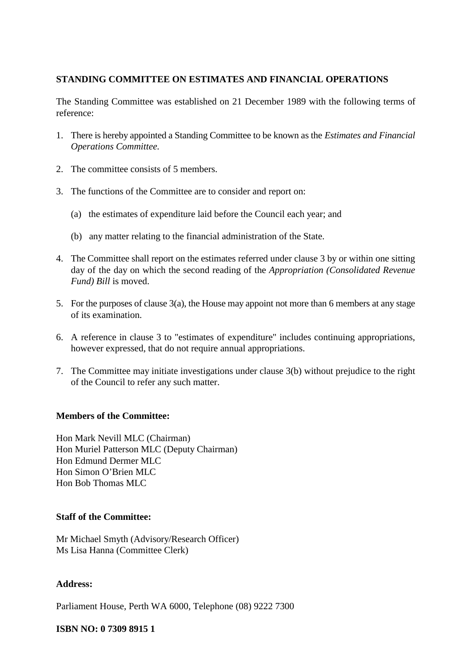# **STANDING COMMITTEE ON ESTIMATES AND FINANCIAL OPERATIONS**

The Standing Committee was established on 21 December 1989 with the following terms of reference:

- 1. There is hereby appointed a Standing Committee to be known as the *Estimates and Financial Operations Committee.*
- 2. The committee consists of 5 members.
- 3. The functions of the Committee are to consider and report on:
	- (a) the estimates of expenditure laid before the Council each year; and
	- (b) any matter relating to the financial administration of the State.
- 4. The Committee shall report on the estimates referred under clause 3 by or within one sitting day of the day on which the second reading of the *Appropriation (Consolidated Revenue Fund) Bill* is moved.
- 5. For the purposes of clause 3(a), the House may appoint not more than 6 members at any stage of its examination.
- 6. A reference in clause 3 to "estimates of expenditure" includes continuing appropriations, however expressed, that do not require annual appropriations.
- 7. The Committee may initiate investigations under clause 3(b) without prejudice to the right of the Council to refer any such matter.

# **Members of the Committee:**

Hon Mark Nevill MLC (Chairman) Hon Muriel Patterson MLC (Deputy Chairman) Hon Edmund Dermer MLC Hon Simon O'Brien MLC Hon Bob Thomas MLC

# **Staff of the Committee:**

Mr Michael Smyth (Advisory/Research Officer) Ms Lisa Hanna (Committee Clerk)

# **Address:**

Parliament House, Perth WA 6000, Telephone (08) 9222 7300

# **ISBN NO: 0 7309 8915 1**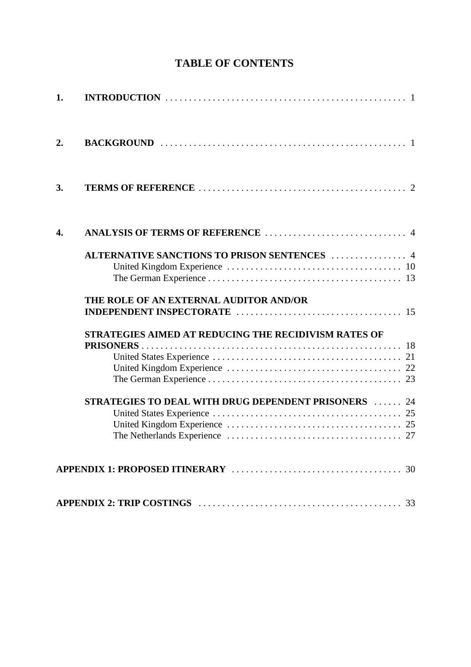| 1. |                                                             |
|----|-------------------------------------------------------------|
| 2. |                                                             |
| 3. |                                                             |
| 4. |                                                             |
|    | ALTERNATIVE SANCTIONS TO PRISON SENTENCES  4                |
|    | THE ROLE OF AN EXTERNAL AUDITOR AND/OR                      |
|    | <b>STRATEGIES AIMED AT REDUCING THE RECIDIVISM RATES OF</b> |
|    | <b>STRATEGIES TO DEAL WITH DRUG DEPENDENT PRISONERS  24</b> |
|    |                                                             |
|    |                                                             |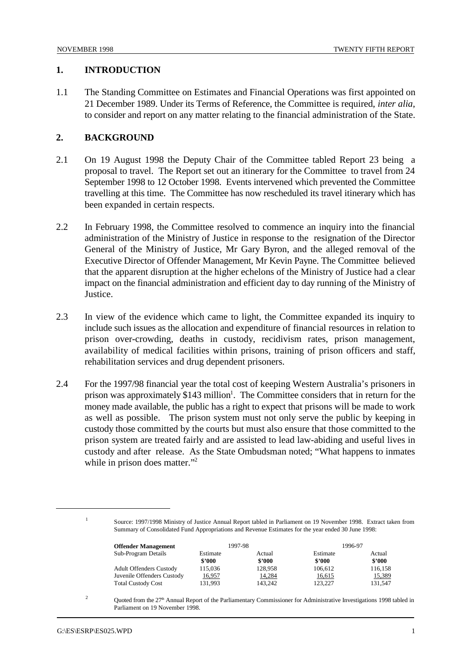#### **1. INTRODUCTION**

1.1 The Standing Committee on Estimates and Financial Operations was first appointed on 21 December 1989. Under its Terms of Reference, the Committee is required, *inter alia*, to consider and report on any matter relating to the financial administration of the State.

# **2. BACKGROUND**

- 2.1 On 19 August 1998 the Deputy Chair of the Committee tabled Report 23 being a proposal to travel. The Report set out an itinerary for the Committee to travel from 24 September 1998 to 12 October 1998. Events intervened which prevented the Committee travelling at this time. The Committee has now rescheduled its travel itinerary which has been expanded in certain respects.
- 2.2 In February 1998, the Committee resolved to commence an inquiry into the financial administration of the Ministry of Justice in response to the resignation of the Director General of the Ministry of Justice, Mr Gary Byron, and the alleged removal of the Executive Director of Offender Management, Mr Kevin Payne. The Committee believed that the apparent disruption at the higher echelons of the Ministry of Justice had a clear impact on the financial administration and efficient day to day running of the Ministry of **Justice**.
- 2.3 In view of the evidence which came to light, the Committee expanded its inquiry to include such issues as the allocation and expenditure of financial resources in relation to prison over-crowding, deaths in custody, recidivism rates, prison management, availability of medical facilities within prisons, training of prison officers and staff, rehabilitation services and drug dependent prisoners.
- 2.4 For the 1997/98 financial year the total cost of keeping Western Australia's prisoners in prison was approximately  $$143$  million<sup>1</sup>. The Committee considers that in return for the money made available, the public has a right to expect that prisons will be made to work as well as possible. The prison system must not only serve the public by keeping in custody those committed by the courts but must also ensure that those committed to the prison system are treated fairly and are assisted to lead law-abiding and useful lives in custody and after release. As the State Ombudsman noted; "What happens to inmates while in prison does matter."<sup>2</sup>

<sup>&</sup>lt;sup>1</sup> Source: 1997/1998 Ministry of Justice Annual Report tabled in Parliament on 19 November 1998. Extract taken from Summary of Consolidated Fund Appropriations and Revenue Estimates for the year ended 30 June 1998:

| <b>Offender Management</b>     |          | 1997-98 | 1996-97  |         |
|--------------------------------|----------|---------|----------|---------|
| Sub-Program Details            | Estimate | Actual  | Estimate | Actual  |
|                                | \$2000   | \$2000  | \$2000   | \$2000  |
| <b>Adult Offenders Custody</b> | 115,036  | 128,958 | 106.612  | 116,158 |
| Juvenile Offenders Custody     | 16,957   | 14,284  | 16,615   | 15,389  |
| <b>Total Custody Cost</b>      | 131,993  | 143.242 | 123.227  | 131.547 |

Quoted from the  $27<sup>th</sup>$  Annual Report of the Parliamentary Commissioner for Administrative Investigations 1998 tabled in Parliament on 19 November 1998.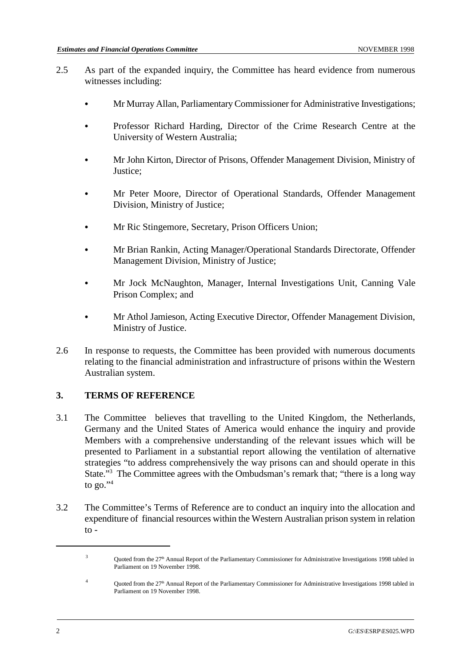- 2.5 As part of the expanded inquiry, the Committee has heard evidence from numerous witnesses including:
	- & Mr Murray Allan, Parliamentary Commissioner for Administrative Investigations;
	- & Professor Richard Harding, Director of the Crime Research Centre at the University of Western Australia;
	- & Mr John Kirton, Director of Prisons, Offender Management Division, Ministry of Justice;
	- Mr Peter Moore, Director of Operational Standards, Offender Management Division, Ministry of Justice;
	- & Mr Ric Stingemore, Secretary, Prison Officers Union;
	- & Mr Brian Rankin, Acting Manager/Operational Standards Directorate, Offender Management Division, Ministry of Justice;
	- & Mr Jock McNaughton, Manager, Internal Investigations Unit, Canning Vale Prison Complex; and
	- & Mr Athol Jamieson, Acting Executive Director, Offender Management Division, Ministry of Justice.
- 2.6 In response to requests, the Committee has been provided with numerous documents relating to the financial administration and infrastructure of prisons within the Western Australian system.

# **3. TERMS OF REFERENCE**

- 3.1 The Committee believes that travelling to the United Kingdom, the Netherlands, Germany and the United States of America would enhance the inquiry and provide Members with a comprehensive understanding of the relevant issues which will be presented to Parliament in a substantial report allowing the ventilation of alternative strategies "to address comprehensively the way prisons can and should operate in this State."<sup>3</sup> The Committee agrees with the Ombudsman's remark that; "there is a long way to  $20.^{94}$
- 3.2 The Committee's Terms of Reference are to conduct an inquiry into the allocation and expenditure of financial resources within the Western Australian prison system in relation to -

 $3$  Quoted from the 27<sup>th</sup> Annual Report of the Parliamentary Commissioner for Administrative Investigations 1998 tabled in Parliament on 19 November 1998.

<sup>&</sup>lt;sup>4</sup> Ouoted from the 27<sup>th</sup> Annual Report of the Parliamentary Commissioner for Administrative Investigations 1998 tabled in Parliament on 19 November 1998.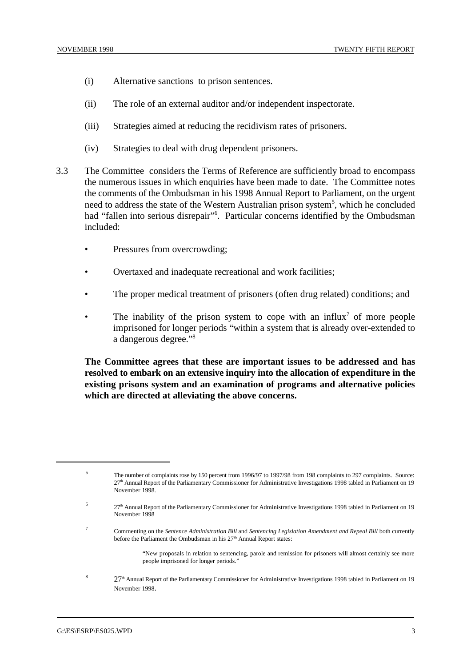- (i) Alternative sanctions to prison sentences.
- (ii) The role of an external auditor and/or independent inspectorate.
- (iii) Strategies aimed at reducing the recidivism rates of prisoners.
- (iv) Strategies to deal with drug dependent prisoners.
- 3.3 The Committee considers the Terms of Reference are sufficiently broad to encompass the numerous issues in which enquiries have been made to date. The Committee notes the comments of the Ombudsman in his 1998 Annual Report to Parliament, on the urgent need to address the state of the Western Australian prison system<sup>5</sup>, which he concluded had "fallen into serious disrepair"<sup>6</sup>. Particular concerns identified by the Ombudsman included:
	- Pressures from overcrowding;
	- Overtaxed and inadequate recreational and work facilities;
	- The proper medical treatment of prisoners (often drug related) conditions; and
	- The inability of the prison system to cope with an influx<sup>7</sup> of more people imprisoned for longer periods "within a system that is already over-extended to a dangerous degree."<sup>8</sup>

**The Committee agrees that these are important issues to be addressed and has resolved to embark on an extensive inquiry into the allocation of expenditure in the existing prisons system and an examination of programs and alternative policies which are directed at alleviating the above concerns.**

- Commenting on the *Sentence Administration Bill* and *Sentencing Legislation Amendment and Repeal Bill* both currently <sup>7</sup> before the Parliament the Ombudsman in his 27<sup>th</sup> Annual Report states:
	- "New proposals in relation to sentencing, parole and remission for prisoners will almost certainly see more people imprisoned for longer periods."
- $8 \over 27$ <sup>th</sup> Annual Report of the Parliamentary Commissioner for Administrative Investigations 1998 tabled in Parliament on 19 November 1998.

The number of complaints rose by 150 percent from 1996/97 to 1997/98 from 198 complaints to 297 complaints. Source: <sup>5</sup> 27<sup>th</sup> Annual Report of the Parliamentary Commissioner for Administrative Investigations 1998 tabled in Parliament on 19 November 1998.

<sup>27&</sup>lt;sup>th</sup> Annual Report of the Parliamentary Commissioner for Administrative Investigations 1998 tabled in Parliament on 19 November 1998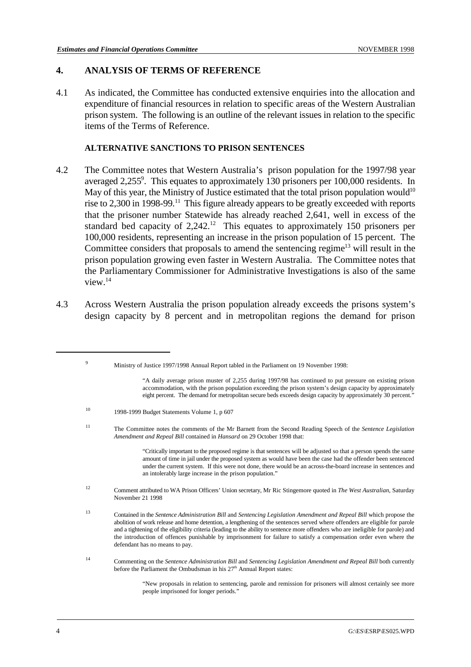# **4. ANALYSIS OF TERMS OF REFERENCE**

4.1 As indicated, the Committee has conducted extensive enquiries into the allocation and expenditure of financial resources in relation to specific areas of the Western Australian prison system. The following is an outline of the relevant issues in relation to the specific items of the Terms of Reference.

#### **ALTERNATIVE SANCTIONS TO PRISON SENTENCES**

- 4.2 The Committee notes that Western Australia's prison population for the 1997/98 year averaged 2,255 $^9$ . This equates to approximately 130 prisoners per 100,000 residents. In May of this year, the Ministry of Justice estimated that the total prison population would<sup>10</sup> rise to 2,300 in 1998-99.<sup>11</sup> This figure already appears to be greatly exceeded with reports that the prisoner number Statewide has already reached 2,641, well in excess of the standard bed capacity of  $2,242$ <sup>12</sup>. This equates to approximately 150 prisoners per 100,000 residents, representing an increase in the prison population of 15 percent. The Committee considers that proposals to amend the sentencing regime<sup>13</sup> will result in the prison population growing even faster in Western Australia. The Committee notes that the Parliamentary Commissioner for Administrative Investigations is also of the same view.14
- 4.3 Across Western Australia the prison population already exceeds the prisons system's design capacity by 8 percent and in metropolitan regions the demand for prison

<sup>9</sup><br>Ministry of Justice 1997/1998 Annual Report tabled in the Parliament on 19 November 1998:

"A daily average prison muster of 2,255 during 1997/98 has continued to put pressure on existing prison accommodation, with the prison population exceeding the prison system's design capacity by approximately eight percent. The demand for metropolitan secure beds exceeds design capacity by approximately 30 percent."

<sup>10</sup> 1998-1999 Budget Statements Volume 1, p 607

The Committee notes the comments of the Mr Barnett from the Second Reading Speech of the *Sentence Legislation* <sup>11</sup> *Amendment and Repeal Bill* contained in *Hansard* on 29 October 1998 that:

> "Critically important to the proposed regime is that sentences will be adjusted so that a person spends the same amount of time in jail under the proposed system as would have been the case had the offender been sentenced under the current system. If this were not done, there would be an across-the-board increase in sentences and an intolerably large increase in the prison population."

Comment attributed to WA Prison Officers' Union secretary, Mr Ric Stingemore quoted in *The West Australian*, Saturday <sup>12</sup> November 21 1998

Commenting on the *Sentence Administration Bill* and *Sentencing Legislation Amendment and Repeal Bill* both currently <sup>14</sup> before the Parliament the Ombudsman in his  $27<sup>th</sup>$  Annual Report states:

> "New proposals in relation to sentencing, parole and remission for prisoners will almost certainly see more people imprisoned for longer periods."

Contained in the *Sentence Administration Bill* and *Sentencing Legislation Amendment and Repeal Bill* which propose the <sup>13</sup> abolition of work release and home detention, a lengthening of the sentences served where offenders are eligible for parole and a tightening of the eligibility criteria (leading to the ability to sentence more offenders who are ineligible for parole) and the introduction of offences punishable by imprisonment for failure to satisfy a compensation order even where the defendant has no means to pay.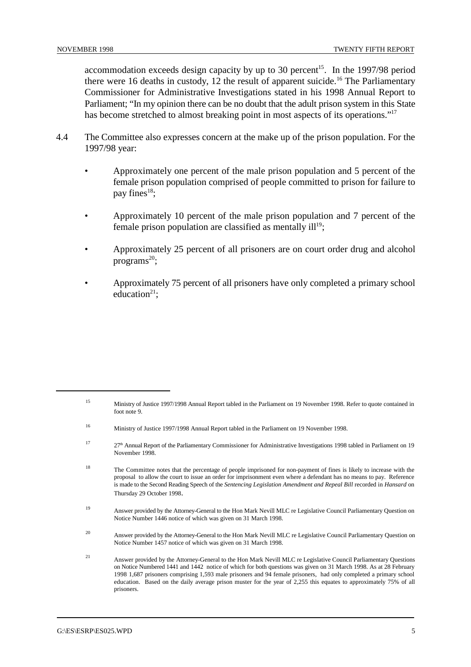accommodation exceeds design capacity by up to 30 percent<sup>15</sup>. In the 1997/98 period there were 16 deaths in custody, 12 the result of apparent suicide.<sup>16</sup> The Parliamentary Commissioner for Administrative Investigations stated in his 1998 Annual Report to Parliament; "In my opinion there can be no doubt that the adult prison system in this State has become stretched to almost breaking point in most aspects of its operations."<sup>17</sup>

- 4.4 The Committee also expresses concern at the make up of the prison population. For the 1997/98 year:
	- Approximately one percent of the male prison population and 5 percent of the female prison population comprised of people committed to prison for failure to pay fines $18$ ;
	- Approximately 10 percent of the male prison population and 7 percent of the female prison population are classified as mentally  $ill<sup>19</sup>$ ;
	- Approximately 25 percent of all prisoners are on court order drug and alcohol programs $^{20}$ ;
	- Approximately 75 percent of all prisoners have only completed a primary school education $21$ :

- <sup>18</sup> The Committee notes that the percentage of people imprisoned for non-payment of fines is likely to increase with the proposal to allow the court to issue an order for imprisonment even where a defendant has no means to pay. Reference is made to the Second Reading Speech of the *Sentencing Legislation Amendment and Repeal Bill* recorded in *Hansard* on Thursday 29 October 1998.
- <sup>19</sup> Answer provided by the Attorney-General to the Hon Mark Nevill MLC re Legislative Council Parliamentary Question on Notice Number 1446 notice of which was given on 31 March 1998.
- <sup>20</sup> Answer provided by the Attorney-General to the Hon Mark Nevill MLC re Legislative Council Parliamentary Question on Notice Number 1457 notice of which was given on 31 March 1998.
- Answer provided by the Attorney-General to the Hon Mark Nevill MLC re Legislative Council Parliamentary Questions <sup>21</sup> on Notice Numbered 1441 and 1442 notice of which for both questions was given on 31 March 1998. As at 28 February 1998 1,687 prisoners comprising 1,593 male prisoners and 94 female prisoners, had only completed a primary school education. Based on the daily average prison muster for the year of 2,255 this equates to approximately 75% of all prisoners.

<sup>15</sup> Ministry of Justice 1997/1998 Annual Report tabled in the Parliament on 19 November 1998. Refer to quote contained in foot note 9.

<sup>&</sup>lt;sup>16</sup> Ministry of Justice 1997/1998 Annual Report tabled in the Parliament on 19 November 1998.

<sup>&</sup>lt;sup>17</sup> 27<sup>th</sup> Annual Report of the Parliamentary Commissioner for Administrative Investigations 1998 tabled in Parliament on 19 November 1998.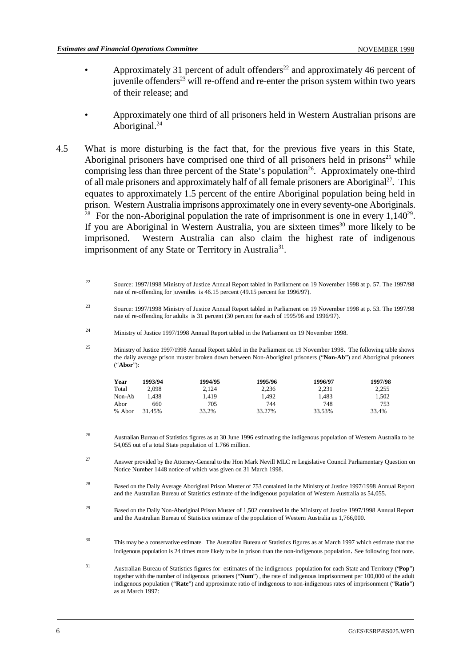- Approximately 31 percent of adult offenders $^{22}$  and approximately 46 percent of juvenile offenders $^{23}$  will re-offend and re-enter the prison system within two years of their release; and
- Approximately one third of all prisoners held in Western Australian prisons are Aboriginal.<sup>24</sup>
- 4.5 What is more disturbing is the fact that, for the previous five years in this State, Aboriginal prisoners have comprised one third of all prisoners held in prisons $25$  while comprising less than three percent of the State's population<sup>26</sup>. Approximately one-third of all male prisoners and approximately half of all female prisoners are Aboriginal<sup>27</sup>. This equates to approximately 1.5 percent of the entire Aboriginal population being held in prison. Western Australia imprisons approximately one in every seventy-one Aboriginals. <sup>28</sup> For the non-Aboriginal population the rate of imprisonment is one in every  $1,140^{29}$ . If you are Aboriginal in Western Australia, you are sixteen times $30$  more likely to be imprisoned. Western Australia can also claim the highest rate of indigenous imprisonment of any State or Territory in Australia<sup>31</sup>.

<sup>&</sup>lt;sup>22</sup> Source: 1997/1998 Ministry of Justice Annual Report tabled in Parliament on 19 November 1998 at p. 57. The 1997/98 rate of re-offending for juveniles is 46.15 percent (49.15 percent for 1996/97). Source: 1997/1998 Ministry of Justice Annual Report tabled in Parliament on 19 November 1998 at p. 53. The 1997/98 <sup>23</sup> rate of re-offending for adults is 31 percent (30 percent for each of 1995/96 and 1996/97). <sup>24</sup> Ministry of Justice 1997/1998 Annual Report tabled in the Parliament on 19 November 1998. <sup>25</sup> Ministry of Justice 1997/1998 Annual Report tabled in the Parliament on 19 November 1998. The following table shows the daily average prison muster broken down between Non-Aboriginal prisoners ("**Non-Ab**") and Aboriginal prisoners ("**Abor**"): **Year 1993/94 1994/95 1995/96 1996/97 1997/98** Total 2,098 2,124 2,236 2,231 2,255 Non-Ab 1,438 1,419 1,492 1,483 1,502 Abor 660 705 744 748 753 % Abor 31.45% 33.2% 33.27% 33.53% 33.4% Australian Bureau of Statistics figures as at 30 June 1996 estimating the indigenous population of Western Australia to be <sup>26</sup> 54,055 out of a total State population of 1.766 million. <sup>27</sup> Answer provided by the Attorney-General to the Hon Mark Nevill MLC re Legislative Council Parliamentary Question on Notice Number 1448 notice of which was given on 31 March 1998. <sup>28</sup> Based on the Daily Average Aboriginal Prison Muster of 753 contained in the Ministry of Justice 1997/1998 Annual Report and the Australian Bureau of Statistics estimate of the indigenous population of Western Australia as 54,055. <sup>29</sup> Based on the Daily Non-Aboriginal Prison Muster of 1,502 contained in the Ministry of Justice 1997/1998 Annual Report and the Australian Bureau of Statistics estimate of the population of Western Australia as 1,766,000. This may be a conservative estimate. The Australian Bureau of Statistics figures as at March 1997 which estimate that the <sup>30</sup> indigenous population is 24 times more likely to be in prison than the non-indigenous population. See following foot note. Australian Bureau of Statistics figures for estimates of the indigenous population for each State and Territory ("**Pop**") <sup>31</sup> together with the number of indigenous prisoners ("**Num**") , the rate of indigenous imprisonment per 100,000 of the adult indigenous population ("**Rate**") and approximate ratio of indigenous to non-indigenous rates of imprisonment ("**Ratio**") as at March 1997: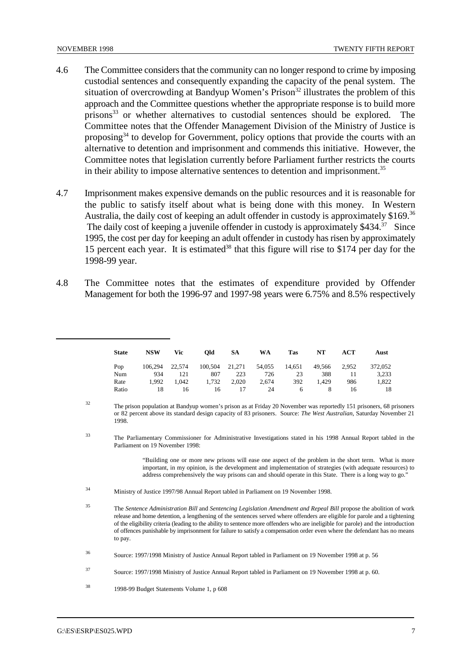- 4.6 The Committee considers that the community can no longer respond to crime by imposing custodial sentences and consequently expanding the capacity of the penal system. The situation of overcrowding at Bandyup Women's Prison<sup>32</sup> illustrates the problem of this approach and the Committee questions whether the appropriate response is to build more prisons  $33$  or whether alternatives to custodial sentences should be explored. The Committee notes that the Offender Management Division of the Ministry of Justice is proposing  $34$  to develop for Government, policy options that provide the courts with an alternative to detention and imprisonment and commends this initiative. However, the Committee notes that legislation currently before Parliament further restricts the courts in their ability to impose alternative sentences to detention and imprisonment.<sup>35</sup>
- 4.7 Imprisonment makes expensive demands on the public resources and it is reasonable for the public to satisfy itself about what is being done with this money. In Western Australia, the daily cost of keeping an adult offender in custody is approximately \$169.<sup>36</sup> The daily cost of keeping a juvenile offender in custody is approximately  $$434$ <sup>37</sup> Since 1995, the cost per day for keeping an adult offender in custody has risen by approximately 15 percent each year. It is estimated<sup>38</sup> that this figure will rise to \$174 per day for the 1998-99 year.
- 4.8 The Committee notes that the estimates of expenditure provided by Offender Management for both the 1996-97 and 1997-98 years were 6.75% and 8.5% respectively

| <b>State</b> | <b>NSW</b> | <b>Vic</b> | Old     | <b>SA</b> | <b>WA</b> | <b>Tas</b> | NT     | ACT   | Aust    |
|--------------|------------|------------|---------|-----------|-----------|------------|--------|-------|---------|
| Pop          | 106.294    | 22.574     | 100,504 | 21,271    | 54,055    | 14,651     | 49.566 | 2,952 | 372,052 |
| Num          | 934        | 121        | 807     | 223       | 726       | 23         | 388    | 11    | 3,233   |
| Rate         | 1.992      | 1.042      | 1,732   | 2,020     | 2,674     | 392        | 1.429  | 986   | 1,822   |
| Ratio        | 18         | 16         | 16      | 17        | 24        | 6          | 8      | 16    | 18      |

<sup>&</sup>lt;sup>32</sup> The prison population at Bandyup women's prison as at Friday 20 November was reportedly 151 prisoners, 68 prisoners or 82 percent above its standard design capacity of 83 prisoners. Source: *The West Australian*, Saturday November 21 1998.

The Parliamentary Commissioner for Administrative Investigations stated in his 1998 Annual Report tabled in the <sup>33</sup> Parliament on 19 November 1998:

> "Building one or more new prisons will ease one aspect of the problem in the short term. What is more important, in my opinion, is the development and implementation of strategies (with adequate resources) to address comprehensively the way prisons can and should operate in this State. There is a long way to go."

Ministry of Justice 1997/98 Annual Report tabled in Parliament on 19 November 1998. <sup>34</sup>

The *Sentence Administration Bill* and *Sentencing Legislation Amendment and Repeal Bill* propose the abolition of work <sup>35</sup> release and home detention, a lengthening of the sentences served where offenders are eligible for parole and a tightening of the eligibility criteria (leading to the ability to sentence more offenders who are ineligible for parole) and the introduction of offences punishable by imprisonment for failure to satisfy a compensation order even where the defendant has no means to pay.

Source: 1997/1998 Ministry of Justice Annual Report tabled in Parliament on 19 November 1998 at p. 56 <sup>36</sup>

Source: 1997/1998 Ministry of Justice Annual Report tabled in Parliament on 19 November 1998 at p. 60. <sup>37</sup>

<sup>&</sup>lt;sup>38</sup> 1998-99 Budget Statements Volume 1, p 608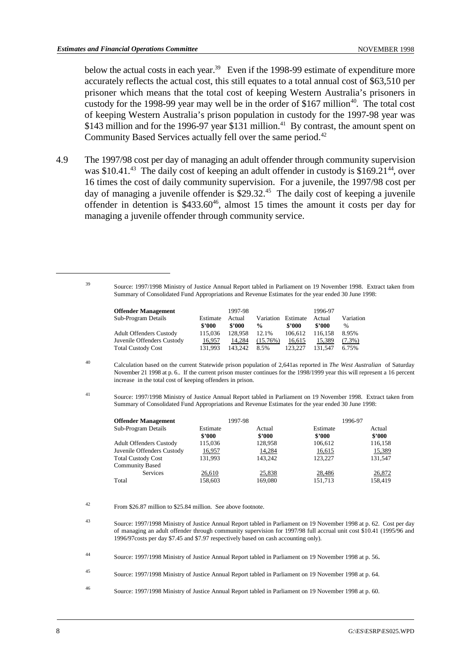below the actual costs in each year.<sup>39</sup> Even if the 1998-99 estimate of expenditure more accurately reflects the actual cost, this still equates to a total annual cost of \$63,510 per prisoner which means that the total cost of keeping Western Australia's prisoners in custody for the 1998-99 year may well be in the order of \$167 million<sup>40</sup>. The total cost of keeping Western Australia's prison population in custody for the 1997-98 year was \$143 million and for the 1996-97 year \$131 million.<sup>41</sup> By contrast, the amount spent on Community Based Services actually fell over the same period.<sup>42</sup>

4.9 The 1997/98 cost per day of managing an adult offender through community supervision was  $$10.41<sup>43</sup>$  The daily cost of keeping an adult offender in custody is  $$169.21<sup>44</sup>$ , over 16 times the cost of daily community supervision. For a juvenile, the 1997/98 cost per day of managing a juvenile offender is  $$29.32<sup>45</sup>$  The daily cost of keeping a juvenile offender in detention is  $$433.60^{46}$ , almost 15 times the amount it costs per day for managing a juvenile offender through community service.

Source: 1997/1998 Ministry of Justice Annual Report tabled in Parliament on 19 November 1998. Extract taken from <sup>39</sup> Summary of Consolidated Fund Appropriations and Revenue Estimates for the year ended 30 June 1998:

| <b>Offender Management</b><br>Sub-Program Details                                         | Estimate<br>\$2000           | 1997-98<br>Actual<br>\$2000  | Variation                                  | Estimate<br>\$2000           | 1996-97<br>Actual<br>\$2000  | Variation<br>$\%$           |
|-------------------------------------------------------------------------------------------|------------------------------|------------------------------|--------------------------------------------|------------------------------|------------------------------|-----------------------------|
| <b>Adult Offenders Custody</b><br>Juvenile Offenders Custody<br><b>Total Custody Cost</b> | 115.036<br>16,957<br>131.993 | 128.958<br>14.284<br>143.242 | $\frac{6}{9}$<br>12.1%<br>(15.76%)<br>8.5% | 106.612<br>16.615<br>123.227 | 116.158<br>15.389<br>131.547 | 8.95%<br>$(7.3\%)$<br>6.75% |

Calculation based on the current Statewide prison population of 2,641as reported in *The West Australian* of Saturday <sup>40</sup> November 21 1998 at p. 6.. If the current prison muster continues for the 1998/1999 year this will represent a 16 percent increase in the total cost of keeping offenders in prison.

Source: 1997/1998 Ministry of Justice Annual Report tabled in Parliament on 19 November 1998. Extract taken from <sup>41</sup> Summary of Consolidated Fund Appropriations and Revenue Estimates for the year ended 30 June 1998:

| 1997-98                      |                    | 1996-97          |
|------------------------------|--------------------|------------------|
| Estimate<br>Actual<br>\$2000 | Estimate<br>\$2000 | Actual<br>\$2000 |
| 128,958<br>115,036           | 106,612            | 116,158          |
| 14,284<br>16,957             | 16,615             | 15,389           |
| 143.242<br>131.993           | 123.227            | 131.547          |
|                              |                    |                  |
| 25,838                       | 28,486             | 26,872           |
| 169,080<br>158,603           | 151,713            | 158,419          |
|                              |                    |                  |

From \$26.87 million to \$25.84 million. See above footnote. <sup>42</sup>

Source: 1997/1998 Ministry of Justice Annual Report tabled in Parliament on 19 November 1998 at p. 62. Cost per day <sup>43</sup> of managing an adult offender through community supervision for 1997/98 full accrual unit cost \$10.41 (1995/96 and 1996/97costs per day \$7.45 and \$7.97 respectively based on cash accounting only).

Source: 1997/1998 Ministry of Justice Annual Report tabled in Parliament on 19 November 1998 at p. 56. <sup>44</sup>

Source: 1997/1998 Ministry of Justice Annual Report tabled in Parliament on 19 November 1998 at p. 64. <sup>45</sup>

Source: 1997/1998 Ministry of Justice Annual Report tabled in Parliament on 19 November 1998 at p. 60. <sup>46</sup>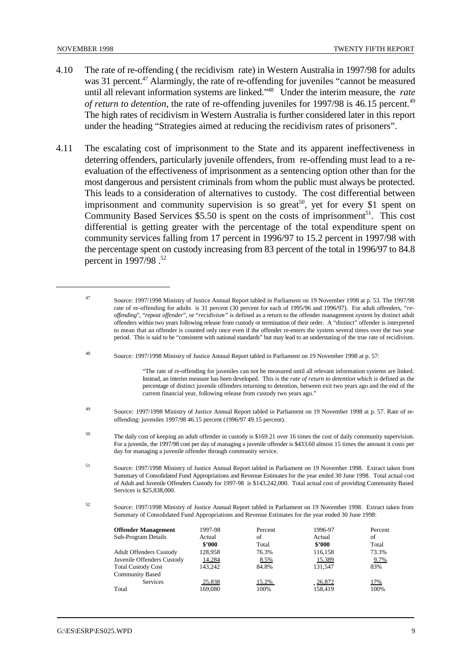- 4.10 The rate of re-offending ( the recidivism rate) in Western Australia in 1997/98 for adults was 31 percent. $47$  Alarmingly, the rate of re-offending for juveniles "cannot be measured until all relevant information systems are linked."<sup>48</sup> Under the interim measure, the *rate of return to detention*, the rate of re-offending juveniles for 1997/98 is 46.15 percent.<sup>49</sup> The high rates of recidivism in Western Australia is further considered later in this report under the heading "Strategies aimed at reducing the recidivism rates of prisoners".
- 4.11 The escalating cost of imprisonment to the State and its apparent ineffectiveness in deterring offenders, particularly juvenile offenders, from re-offending must lead to a reevaluation of the effectiveness of imprisonment as a sentencing option other than for the most dangerous and persistent criminals from whom the public must always be protected. This leads to a consideration of alternatives to custody. The cost differential between imprisonment and community supervision is so great<sup>50</sup>, yet for every \$1 spent on Community Based Services  $$5.50$  is spent on the costs of imprisonment<sup>51</sup>. This cost differential is getting greater with the percentage of the total expenditure spent on community services falling from 17 percent in 1996/97 to 15.2 percent in 1997/98 with the percentage spent on custody increasing from 83 percent of the total in 1996/97 to 84.8 percent in 1997/98 .<sup>52</sup>

Source: 1997/1998 Ministry of Justice Annual Report tabled in Parliament on 19 November 1998 at p. 57: <sup>48</sup>

"The rate of re-offending for juveniles can not be measured until all relevant information systems are linked. Instead, an interim measure has been developed. This is the *rate of return to detention* which is defined as the percentage of distinct juvenile offenders returning to detention, between exit two years ago and the end of the current financial year, following release from custody two years ago."

<sup>49</sup> Source: 1997/1998 Ministry of Justice Annual Report tabled in Parliament on 19 November 1998 at p. 57. Rate of reoffending: juveniles 1997/98 46.15 percent (1996/97 49.15 percent).

The daily cost of keeping an adult offender in custody is \$169.21 over 16 times the cost of daily community supervision. <sup>50</sup> For a juvenile, the 1997/98 cost per day of managing a juvenile offender is \$433.60 almost 15 times the amount it costs per day for managing a juvenile offender through community service.

Source: 1997/1998 Ministry of Justice Annual Report tabled in Parliament on 19 November 1998. Extract taken from <sup>51</sup> Summary of Consolidated Fund Appropriations and Revenue Estimates for the year ended 30 June 1998. Total actual cost of Adult and Juvenile Offenders Custody for 1997-98 is \$143,242,000. Total actual cost of providing Community Based Services is \$25,838,000.

Source: 1997/1998 Ministry of Justice Annual Report tabled in Parliament on 19 November 1998. Extract taken from <sup>52</sup> Summary of Consolidated Fund Appropriations and Revenue Estimates for the year ended 30 June 1998:

| <b>Offender Management</b>     | 1997-98 | Percent | 1996-97   | Percent    |
|--------------------------------|---------|---------|-----------|------------|
| Sub-Program Details            | Actual  | of      | Actual    | οf         |
|                                | \$2000  | Total   | \$2000    | Total      |
| <b>Adult Offenders Custody</b> | 128,958 | 76.3%   | 116,158   | 73.3%      |
| Juvenile Offenders Custody     | 14,284  | 8.5%    | 15,389    | 9.7%       |
| <b>Total Custody Cost</b>      | 143.242 | 84.8%   | 131.547   | 83%        |
| <b>Community Based</b>         |         |         |           |            |
| <b>Services</b>                | 25,838  | 15.2%   | $-26,872$ | <u>17%</u> |
| Total                          | 169,080 | 100%    | 158,419   | 100%       |

<sup>&</sup>lt;sup>47</sup> Source: 1997/1998 Ministry of Justice Annual Report tabled in Parliament on 19 November 1998 at p. 53. The 1997/98 rate of re-offending for adults is 31 percent (30 percent for each of 1995/96 and 1996/97). For adult offenders, "*reoffending*", "*repeat offender*", or "*recidivism"* is defined as a return to the offender management system by distinct adult offenders within two years following release from custody or termination of their order. A "distinct" offender is interpreted to mean that an offender is counted only once even if the offender re-enters the system several times over the two year period. This is said to be "consistent with national standards" but may lead to an understating of the true rate of recidivism.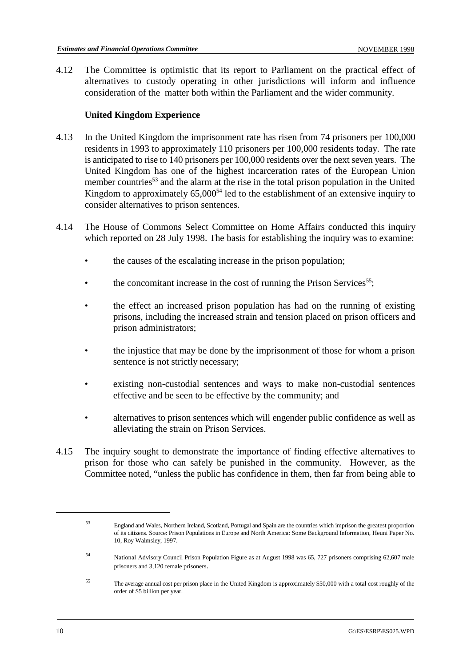4.12 The Committee is optimistic that its report to Parliament on the practical effect of alternatives to custody operating in other jurisdictions will inform and influence consideration of the matter both within the Parliament and the wider community.

# **United Kingdom Experience**

- 4.13 In the United Kingdom the imprisonment rate has risen from 74 prisoners per 100,000 residents in 1993 to approximately 110 prisoners per 100,000 residents today. The rate is anticipated to rise to 140 prisoners per 100,000 residents over the next seven years. The United Kingdom has one of the highest incarceration rates of the European Union member countries<sup>53</sup> and the alarm at the rise in the total prison population in the United Kingdom to approximately  $65,000^{54}$  led to the establishment of an extensive inquiry to consider alternatives to prison sentences.
- 4.14 The House of Commons Select Committee on Home Affairs conducted this inquiry which reported on 28 July 1998. The basis for establishing the inquiry was to examine:
	- the causes of the escalating increase in the prison population;
	- the concomitant increase in the cost of running the Prison Services<sup>55</sup>;
	- the effect an increased prison population has had on the running of existing prisons, including the increased strain and tension placed on prison officers and prison administrators;
	- the injustice that may be done by the imprisonment of those for whom a prison sentence is not strictly necessary;
	- existing non-custodial sentences and ways to make non-custodial sentences effective and be seen to be effective by the community; and
	- alternatives to prison sentences which will engender public confidence as well as alleviating the strain on Prison Services.
- 4.15 The inquiry sought to demonstrate the importance of finding effective alternatives to prison for those who can safely be punished in the community. However, as the Committee noted, "unless the public has confidence in them, then far from being able to

England and Wales, Northern Ireland, Scotland, Portugal and Spain are the countries which imprison the greatest proportion <sup>53</sup> of its citizens. Source: Prison Populations in Europe and North America: Some Background Information, Heuni Paper No. 10, Roy Walmsley, 1997.

National Advisory Council Prison Population Figure as at August 1998 was 65, 727 prisoners comprising 62,607 male <sup>54</sup> prisoners and 3,120 female prisoners.

The average annual cost per prison place in the United Kingdom is approximately \$50,000 with a total cost roughly of the <sup>55</sup> order of \$5 billion per year.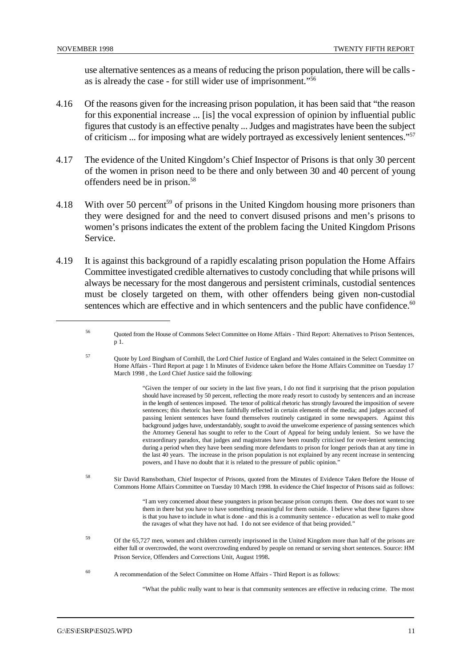use alternative sentences as a means of reducing the prison population, there will be calls as is already the case - for still wider use of imprisonment."56

- 4.16 Of the reasons given for the increasing prison population, it has been said that "the reason for this exponential increase ... [is] the vocal expression of opinion by influential public figures that custody is an effective penalty ... Judges and magistrates have been the subject of criticism ... for imposing what are widely portrayed as excessively lenient sentences."57
- 4.17 The evidence of the United Kingdom's Chief Inspector of Prisons is that only 30 percent of the women in prison need to be there and only between 30 and 40 percent of young offenders need be in prison.58
- 4.18 With over 50 percent<sup>59</sup> of prisons in the United Kingdom housing more prisoners than they were designed for and the need to convert disused prisons and men's prisons to women's prisons indicates the extent of the problem facing the United Kingdom Prisons Service.
- 4.19 It is against this background of a rapidly escalating prison population the Home Affairs Committee investigated credible alternatives to custody concluding that while prisons will always be necessary for the most dangerous and persistent criminals, custodial sentences must be closely targeted on them, with other offenders being given non-custodial sentences which are effective and in which sentencers and the public have confidence. $60$ 
	- Quoted from the House of Commons Select Committee on Home Affairs Third Report: Alternatives to Prison Sentences, <sup>56</sup> p 1.
	- <sup>57</sup> Ouote by Lord Bingham of Cornhill, the Lord Chief Justice of England and Wales contained in the Select Committee on Home Affairs - Third Report at page 1 In Minutes of Evidence taken before the Home Affairs Committee on Tuesday 17 March 1998 , the Lord Chief Justice said the following:

"Given the temper of our society in the last five years, I do not find it surprising that the prison population should have increased by 50 percent, reflecting the more ready resort to custody by sentencers and an increase in the length of sentences imposed. The tenor of political rhetoric has strongly favoured the imposition of severe sentences; this rhetoric has been faithfully reflected in certain elements of the media; and judges accused of passing lenient sentences have found themselves routinely castigated in some newspapers. Against this background judges have, understandably, sought to avoid the unwelcome experience of passing sentences which the Attorney General has sought to refer to the Court of Appeal for being unduly lenient. So we have the extraordinary paradox, that judges and magistrates have been roundly criticised for over-lenient sentencing during a period when they have been sending more defendants to prison for longer periods than at any time in the last 40 years. The increase in the prison population is not explained by any recent increase in sentencing powers, and I have no doubt that it is related to the pressure of public opinion."

58 Sir David Ramsbotham, Chief Inspector of Prisons, quoted from the Minutes of Evidence Taken Before the House of Commons Home Affairs Committee on Tuesday 10 March 1998. In evidence the Chief Inspector of Prisons said as follows:

> "I am very concerned about these youngsters in prison because prison corrupts them. One does not want to see them in there but you have to have something meaningful for them outside. I believe what these figures show is that you have to include in what is done - and this is a community sentence - education as well to make good the ravages of what they have not had. I do not see evidence of that being provided."

- Of the 65,727 men, women and children currently imprisoned in the United Kingdom more than half of the prisons are either full or overcrowded, the worst overcrowding endured by people on remand or serving short sentences. Source: HM Prison Service, Offenders and Corrections Unit, August 1998.
- <sup>60</sup> A recommendation of the Select Committee on Home Affairs Third Report is as follows:

"What the public really want to hear is that community sentences are effective in reducing crime. The most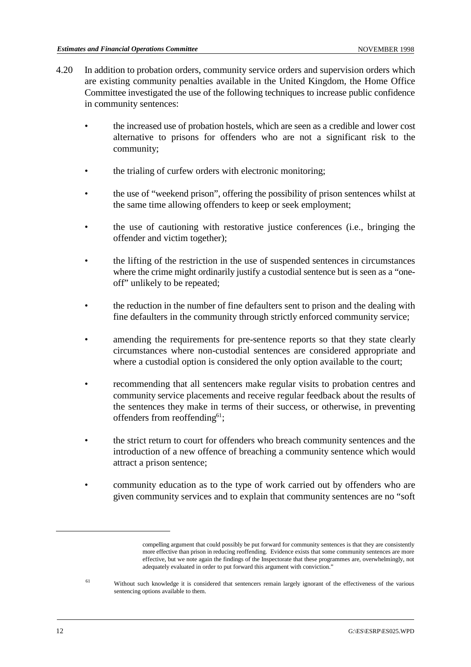- 4.20 In addition to probation orders, community service orders and supervision orders which are existing community penalties available in the United Kingdom, the Home Office Committee investigated the use of the following techniques to increase public confidence in community sentences:
	- the increased use of probation hostels, which are seen as a credible and lower cost alternative to prisons for offenders who are not a significant risk to the community;
	- the trialing of curfew orders with electronic monitoring;
	- the use of "weekend prison", offering the possibility of prison sentences whilst at the same time allowing offenders to keep or seek employment;
	- the use of cautioning with restorative justice conferences (i.e., bringing the offender and victim together);
	- the lifting of the restriction in the use of suspended sentences in circumstances where the crime might ordinarily justify a custodial sentence but is seen as a "oneoff" unlikely to be repeated;
	- the reduction in the number of fine defaulters sent to prison and the dealing with fine defaulters in the community through strictly enforced community service;
	- amending the requirements for pre-sentence reports so that they state clearly circumstances where non-custodial sentences are considered appropriate and where a custodial option is considered the only option available to the court;
	- recommending that all sentencers make regular visits to probation centres and community service placements and receive regular feedback about the results of the sentences they make in terms of their success, or otherwise, in preventing offenders from reoffending<sup>61</sup>;
	- the strict return to court for offenders who breach community sentences and the introduction of a new offence of breaching a community sentence which would attract a prison sentence;
	- community education as to the type of work carried out by offenders who are given community services and to explain that community sentences are no "soft

compelling argument that could possibly be put forward for community sentences is that they are consistently more effective than prison in reducing reoffending. Evidence exists that some community sentences are more effective, but we note again the findings of the Inspectorate that these programmes are, overwhelmingly, not adequately evaluated in order to put forward this argument with conviction."

<sup>&</sup>lt;sup>61</sup> Without such knowledge it is considered that sentencers remain largely ignorant of the effectiveness of the various sentencing options available to them.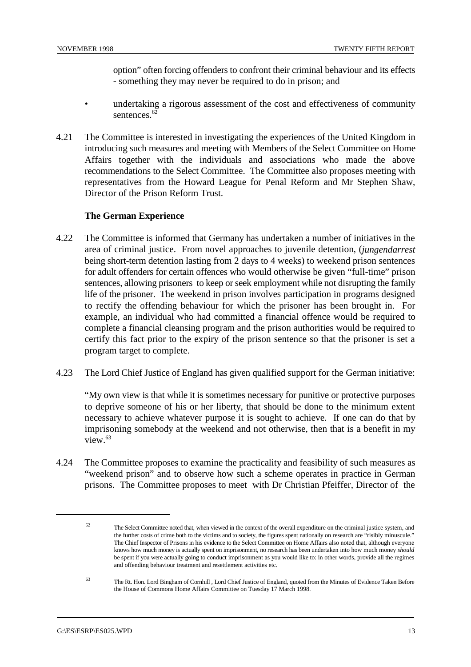option" often forcing offenders to confront their criminal behaviour and its effects - something they may never be required to do in prison; and

- undertaking a rigorous assessment of the cost and effectiveness of community sentences.<sup>62</sup>
- 4.21 The Committee is interested in investigating the experiences of the United Kingdom in introducing such measures and meeting with Members of the Select Committee on Home Affairs together with the individuals and associations who made the above recommendations to the Select Committee. The Committee also proposes meeting with representatives from the Howard League for Penal Reform and Mr Stephen Shaw, Director of the Prison Reform Trust.

# **The German Experience**

- 4.22 The Committee is informed that Germany has undertaken a number of initiatives in the area of criminal justice. From novel approaches to juvenile detention, (*jungendarrest* being short-term detention lasting from 2 days to 4 weeks) to weekend prison sentences for adult offenders for certain offences who would otherwise be given "full-time" prison sentences, allowing prisoners to keep or seek employment while not disrupting the family life of the prisoner. The weekend in prison involves participation in programs designed to rectify the offending behaviour for which the prisoner has been brought in. For example, an individual who had committed a financial offence would be required to complete a financial cleansing program and the prison authorities would be required to certify this fact prior to the expiry of the prison sentence so that the prisoner is set a program target to complete.
- 4.23 The Lord Chief Justice of England has given qualified support for the German initiative:

"My own view is that while it is sometimes necessary for punitive or protective purposes to deprive someone of his or her liberty, that should be done to the minimum extent necessary to achieve whatever purpose it is sought to achieve. If one can do that by imprisoning somebody at the weekend and not otherwise, then that is a benefit in my view  $63$ 

4.24 The Committee proposes to examine the practicality and feasibility of such measures as "weekend prison" and to observe how such a scheme operates in practice in German prisons. The Committee proposes to meet with Dr Christian Pfeiffer, Director of the

 $62$  The Select Committee noted that, when viewed in the context of the overall expenditure on the criminal justice system, and the further costs of crime both to the victims and to society, the figures spent nationally on research are "risibly minuscule." The Chief Inspector of Prisons in his evidence to the Select Committee on Home Affairs also noted that, although everyone knows how much money is actually spent on imprisonment, no research has been undertaken into how much money *should* be spent if you were actually going to conduct imprisonment as you would like to: in other words, provide all the regimes and offending behaviour treatment and resettlement activities etc.

The Rt. Hon. Lord Bingham of Cornhill , Lord Chief Justice of England, quoted from the Minutes of Evidence Taken Before <sup>63</sup> the House of Commons Home Affairs Committee on Tuesday 17 March 1998.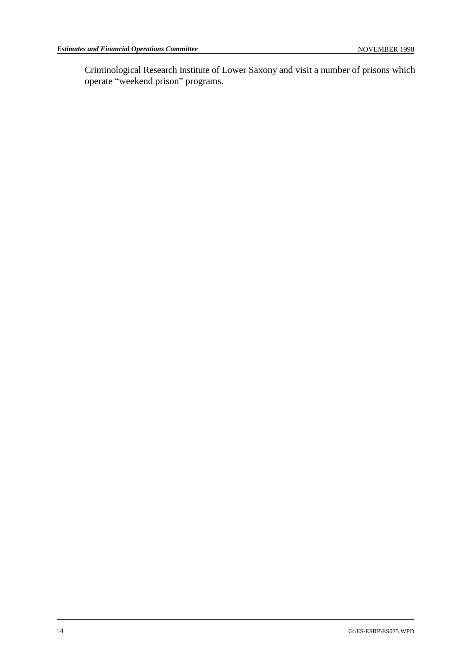Criminological Research Institute of Lower Saxony and visit a number of prisons which operate "weekend prison" programs.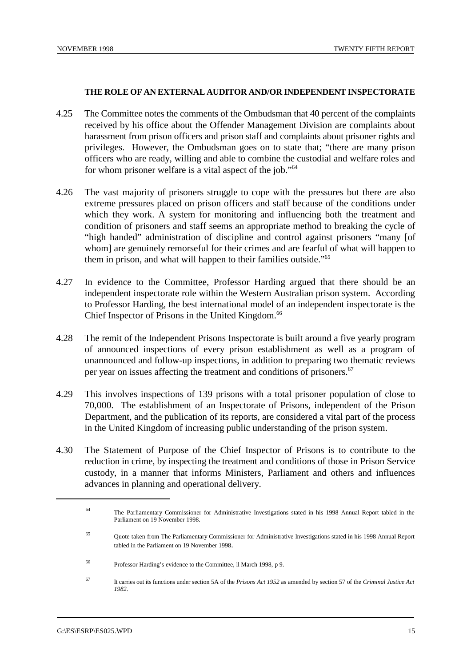#### **THE ROLE OF AN EXTERNAL AUDITOR AND/OR INDEPENDENT INSPECTORATE**

- 4.25 The Committee notes the comments of the Ombudsman that 40 percent of the complaints received by his office about the Offender Management Division are complaints about harassment from prison officers and prison staff and complaints about prisoner rights and privileges. However, the Ombudsman goes on to state that; "there are many prison officers who are ready, willing and able to combine the custodial and welfare roles and for whom prisoner welfare is a vital aspect of the job."<sup>64</sup>
- 4.26 The vast majority of prisoners struggle to cope with the pressures but there are also extreme pressures placed on prison officers and staff because of the conditions under which they work. A system for monitoring and influencing both the treatment and condition of prisoners and staff seems an appropriate method to breaking the cycle of "high handed" administration of discipline and control against prisoners "many [of whom] are genuinely remorseful for their crimes and are fearful of what will happen to them in prison, and what will happen to their families outside."65
- 4.27 In evidence to the Committee, Professor Harding argued that there should be an independent inspectorate role within the Western Australian prison system. According to Professor Harding, the best international model of an independent inspectorate is the Chief Inspector of Prisons in the United Kingdom.<sup>66</sup>
- 4.28 The remit of the Independent Prisons Inspectorate is built around a five yearly program of announced inspections of every prison establishment as well as a program of unannounced and follow-up inspections, in addition to preparing two thematic reviews per year on issues affecting the treatment and conditions of prisoners.<sup>67</sup>
- 4.29 This involves inspections of 139 prisons with a total prisoner population of close to 70,000. The establishment of an Inspectorate of Prisons, independent of the Prison Department, and the publication of its reports, are considered a vital part of the process in the United Kingdom of increasing public understanding of the prison system.
- 4.30 The Statement of Purpose of the Chief Inspector of Prisons is to contribute to the reduction in crime, by inspecting the treatment and conditions of those in Prison Service custody, in a manner that informs Ministers, Parliament and others and influences advances in planning and operational delivery.

The Parliamentary Commissioner for Administrative Investigations stated in his 1998 Annual Report tabled in the <sup>64</sup> Parliament on 19 November 1998.

Quote taken from The Parliamentary Commissioner for Administrative Investigations stated in his 1998 Annual Report <sup>65</sup> tabled in the Parliament on 19 November 1998.

Professor Harding's evidence to the Committee, ll March 1998, p 9. <sup>66</sup>

It carries out its functions under section 5A of the *Prisons Act 1952* as amended by section 57 of the *Criminal Justice Act* <sup>67</sup> *1982*.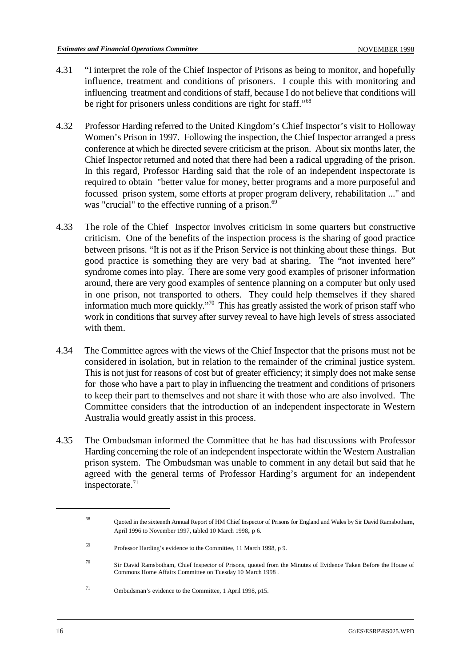- 4.31 "I interpret the role of the Chief Inspector of Prisons as being to monitor, and hopefully influence, treatment and conditions of prisoners. I couple this with monitoring and influencing treatment and conditions of staff, because I do not believe that conditions will be right for prisoners unless conditions are right for staff."<sup>68</sup>
- 4.32 Professor Harding referred to the United Kingdom's Chief Inspector's visit to Holloway Women's Prison in 1997. Following the inspection, the Chief Inspector arranged a press conference at which he directed severe criticism at the prison. About six months later, the Chief Inspector returned and noted that there had been a radical upgrading of the prison. In this regard, Professor Harding said that the role of an independent inspectorate is required to obtain "better value for money, better programs and a more purposeful and focussed prison system, some efforts at proper program delivery, rehabilitation ..." and was "crucial" to the effective running of a prison.<sup>69</sup>
- 4.33 The role of the Chief Inspector involves criticism in some quarters but constructive criticism. One of the benefits of the inspection process is the sharing of good practice between prisons. "It is not as if the Prison Service is not thinking about these things. But good practice is something they are very bad at sharing. The "not invented here" syndrome comes into play. There are some very good examples of prisoner information around, there are very good examples of sentence planning on a computer but only used in one prison, not transported to others. They could help themselves if they shared information much more quickly."<sup>70</sup> This has greatly assisted the work of prison staff who work in conditions that survey after survey reveal to have high levels of stress associated with them.
- 4.34 The Committee agrees with the views of the Chief Inspector that the prisons must not be considered in isolation, but in relation to the remainder of the criminal justice system. This is not just for reasons of cost but of greater efficiency; it simply does not make sense for those who have a part to play in influencing the treatment and conditions of prisoners to keep their part to themselves and not share it with those who are also involved. The Committee considers that the introduction of an independent inspectorate in Western Australia would greatly assist in this process.
- 4.35 The Ombudsman informed the Committee that he has had discussions with Professor Harding concerning the role of an independent inspectorate within the Western Australian prison system. The Ombudsman was unable to comment in any detail but said that he agreed with the general terms of Professor Harding's argument for an independent inspectorate. $71$

Quoted in the sixteenth Annual Report of HM Chief Inspector of Prisons for England and Wales by Sir David Ramsbotham, <sup>68</sup> April 1996 to November 1997, tabled 10 March 1998, p 6.

<sup>&</sup>lt;sup>69</sup> Professor Harding's evidence to the Committee, 11 March 1998, p 9.

<sup>&</sup>lt;sup>70</sup> Sir David Ramsbotham, Chief Inspector of Prisons, quoted from the Minutes of Evidence Taken Before the House of Commons Home Affairs Committee on Tuesday 10 March 1998 .

<sup>&</sup>lt;sup>71</sup> Ombudsman's evidence to the Committee, 1 April 1998, p15.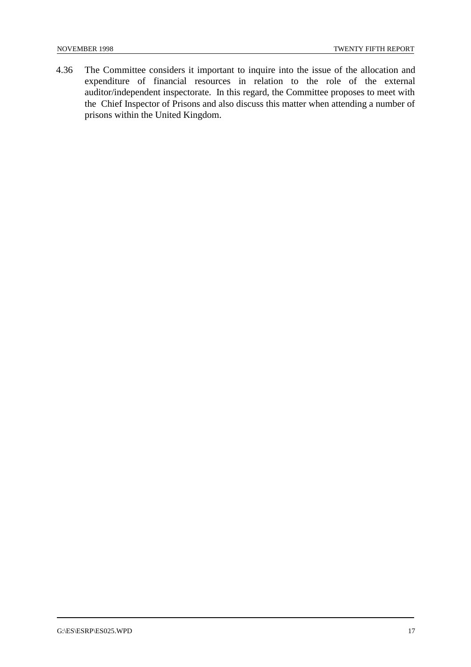4.36 The Committee considers it important to inquire into the issue of the allocation and expenditure of financial resources in relation to the role of the external auditor/independent inspectorate. In this regard, the Committee proposes to meet with the Chief Inspector of Prisons and also discuss this matter when attending a number of prisons within the United Kingdom.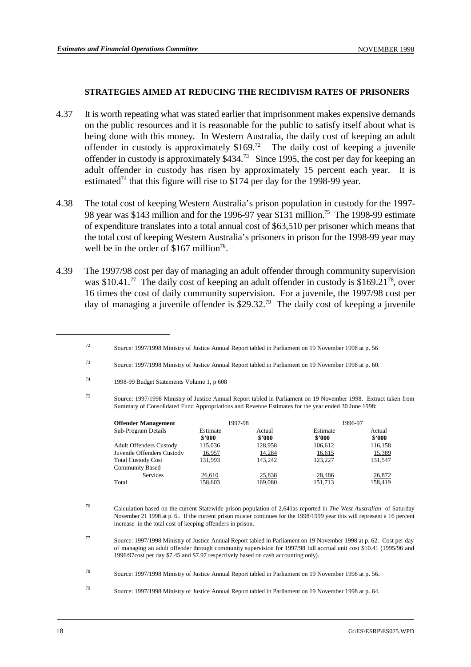#### **STRATEGIES AIMED AT REDUCING THE RECIDIVISM RATES OF PRISONERS**

- 4.37 It is worth repeating what was stated earlier that imprisonment makes expensive demands on the public resources and it is reasonable for the public to satisfy itself about what is being done with this money. In Western Australia, the daily cost of keeping an adult offender in custody is approximately  $$169<sup>72</sup>$ . The daily cost of keeping a juvenile offender in custody is approximately  $$434<sup>73</sup>$  Since 1995, the cost per day for keeping an adult offender in custody has risen by approximately 15 percent each year. It is estimated<sup> $74$ </sup> that this figure will rise to \$174 per day for the 1998-99 year.
- 4.38 The total cost of keeping Western Australia's prison population in custody for the 1997- 98 year was \$143 million and for the 1996-97 year \$131 million.<sup>75</sup> The 1998-99 estimate of expenditure translates into a total annual cost of \$63,510 per prisoner which means that the total cost of keeping Western Australia's prisoners in prison for the 1998-99 year may well be in the order of  $$167$  million<sup>76</sup>.
- 4.39 The 1997/98 cost per day of managing an adult offender through community supervision was  $$10.41$ .<sup>77</sup> The daily cost of keeping an adult offender in custody is  $$169.21^{78}$ , over 16 times the cost of daily community supervision. For a juvenile, the 1997/98 cost per day of managing a juvenile offender is \$29.32.<sup>79</sup> The daily cost of keeping a juvenile

Source: 1997/1998 Ministry of Justice Annual Report tabled in Parliament on 19 November 1998. Extract taken from <sup>75</sup> Summary of Consolidated Fund Appropriations and Revenue Estimates for the year ended 30 June 1998:

| <b>Offender Management</b>     |                    | 1997-98          |                    | 1996-97          |
|--------------------------------|--------------------|------------------|--------------------|------------------|
| Sub-Program Details            | Estimate<br>\$2000 | Actual<br>\$2000 | Estimate<br>\$2000 | Actual<br>\$2000 |
| <b>Adult Offenders Custody</b> | 115,036            | 128,958          | 106,612            | 116,158          |
| Juvenile Offenders Custody     | 16,957             | 14,284           | 16,615             | 15,389           |
| <b>Total Custody Cost</b>      | 131,993            | 143.242          | 123.227            | 131,547          |
| <b>Community Based</b>         |                    |                  |                    |                  |
| <b>Services</b>                | 26,610             | 25,838           | 28,486             | 26,872           |
| Total                          | 158,603            | 169,080          | 151,713            | 158,419          |

- Calculation based on the current Statewide prison population of 2,641as reported in *The West Australian* of Saturday <sup>76</sup> November 21 1998 at p. 6.. If the current prison muster continues for the 1998/1999 year this will represent a 16 percent increase in the total cost of keeping offenders in prison.
- Source: 1997/1998 Ministry of Justice Annual Report tabled in Parliament on 19 November 1998 at p. 62. Cost per day <sup>77</sup> of managing an adult offender through community supervision for 1997/98 full accrual unit cost \$10.41 (1995/96 and 1996/97cost per day \$7.45 and \$7.97 respectively based on cash accounting only).

Source: 1997/1998 Ministry of Justice Annual Report tabled in Parliament on 19 November 1998 at p. 56 <sup>72</sup>

Source: 1997/1998 Ministry of Justice Annual Report tabled in Parliament on 19 November 1998 at p. 60. <sup>73</sup>

<sup>1998-99</sup> Budget Statements Volume 1, p 608 <sup>74</sup>

Source: 1997/1998 Ministry of Justice Annual Report tabled in Parliament on 19 November 1998 at p. 56. <sup>78</sup>

Source: 1997/1998 Ministry of Justice Annual Report tabled in Parliament on 19 November 1998 at p. 64. <sup>79</sup>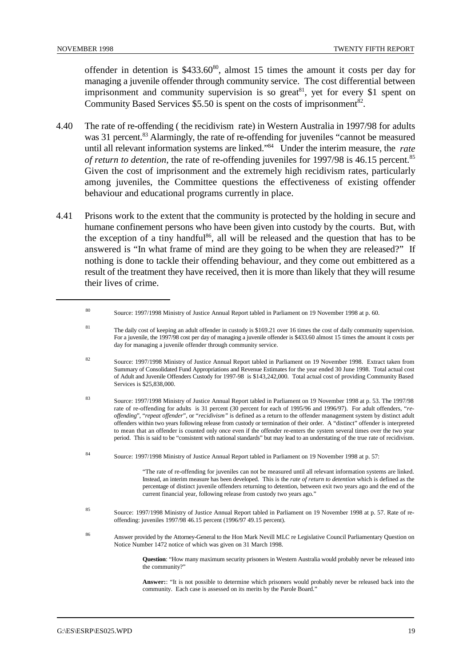offender in detention is  $$433.60\%$ , almost 15 times the amount it costs per day for managing a juvenile offender through community service. The cost differential between imprisonment and community supervision is so great<sup>81</sup>, yet for every \$1 spent on Community Based Services  $$5.50$  is spent on the costs of imprisonment<sup>82</sup>.

- 4.40 The rate of re-offending ( the recidivism rate) in Western Australia in 1997/98 for adults was 31 percent.<sup>83</sup> Alarmingly, the rate of re-offending for juveniles "cannot be measured until all relevant information systems are linked."<sup>84</sup> Under the interim measure, the *rate of return to detention*, the rate of re-offending juveniles for 1997/98 is 46.15 percent.<sup>85</sup> Given the cost of imprisonment and the extremely high recidivism rates, particularly among juveniles, the Committee questions the effectiveness of existing offender behaviour and educational programs currently in place.
- 4.41 Prisons work to the extent that the community is protected by the holding in secure and humane confinement persons who have been given into custody by the courts. But, with the exception of a tiny handful<sup>86</sup>, all will be released and the question that has to be answered is "In what frame of mind are they going to be when they are released?" If nothing is done to tackle their offending behaviour, and they come out embittered as a result of the treatment they have received, then it is more than likely that they will resume their lives of crime.

- Source: 1997/1998 Ministry of Justice Annual Report tabled in Parliament on 19 November 1998. Extract taken from <sup>82</sup> Summary of Consolidated Fund Appropriations and Revenue Estimates for the year ended 30 June 1998. Total actual cost of Adult and Juvenile Offenders Custody for 1997-98 is \$143,242,000. Total actual cost of providing Community Based Services is \$25,838,000.
- Source: 1997/1998 Ministry of Justice Annual Report tabled in Parliament on 19 November 1998 at p. 53. The 1997/98 <sup>83</sup> rate of re-offending for adults is 31 percent (30 percent for each of 1995/96 and 1996/97). For adult offenders, "*reoffending*", "*repeat offender*", or "*recidivism"* is defined as a return to the offender management system by distinct adult offenders within two years following release from custody or termination of their order. A "distinct" offender is interpreted to mean that an offender is counted only once even if the offender re-enters the system several times over the two year period. This is said to be "consistent with national standards" but may lead to an understating of the true rate of recidivism.
- Source: 1997/1998 Ministry of Justice Annual Report tabled in Parliament on 19 November 1998 at p. 57: <sup>84</sup>

"The rate of re-offending for juveniles can not be measured until all relevant information systems are linked. Instead, an interim measure has been developed. This is the *rate of return to detention* which is defined as the percentage of distinct juvenile offenders returning to detention, between exit two years ago and the end of the current financial year, following release from custody two years ago."

- Source: 1997/1998 Ministry of Justice Annual Report tabled in Parliament on 19 November 1998 at p. 57. Rate of re- <sup>85</sup> offending: juveniles 1997/98 46.15 percent (1996/97 49.15 percent).
- <sup>86</sup> Answer provided by the Attorney-General to the Hon Mark Nevill MLC re Legislative Council Parliamentary Question on Notice Number 1472 notice of which was given on 31 March 1998.

**Question**: "How many maximum security prisoners in Western Australia would probably never be released into the community?"

**Answer:**: "It is not possible to determine which prisoners would probably never be released back into the community. Each case is assessed on its merits by the Parole Board."

Source: 1997/1998 Ministry of Justice Annual Report tabled in Parliament on 19 November 1998 at p. 60. <sup>80</sup>

<sup>&</sup>lt;sup>81</sup> The daily cost of keeping an adult offender in custody is \$169.21 over 16 times the cost of daily community supervision. For a juvenile, the 1997/98 cost per day of managing a juvenile offender is \$433.60 almost 15 times the amount it costs per day for managing a juvenile offender through community service.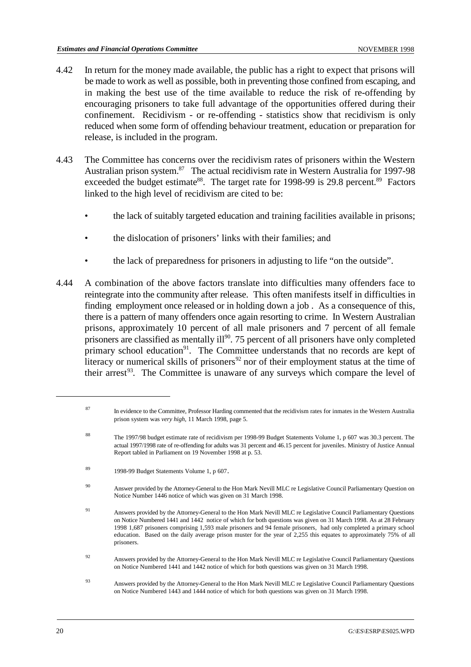- 4.42 In return for the money made available, the public has a right to expect that prisons will be made to work as well as possible, both in preventing those confined from escaping, and in making the best use of the time available to reduce the risk of re-offending by encouraging prisoners to take full advantage of the opportunities offered during their confinement. Recidivism - or re-offending - statistics show that recidivism is only reduced when some form of offending behaviour treatment, education or preparation for release, is included in the program.
- 4.43 The Committee has concerns over the recidivism rates of prisoners within the Western Australian prison system.<sup>87</sup> The actual recidivism rate in Western Australia for 1997-98 exceeded the budget estimate<sup>88</sup>. The target rate for 1998-99 is 29.8 percent.<sup>89</sup> Factors linked to the high level of recidivism are cited to be:
	- the lack of suitably targeted education and training facilities available in prisons;
	- the dislocation of prisoners' links with their families; and
	- the lack of preparedness for prisoners in adjusting to life "on the outside".
- 4.44 A combination of the above factors translate into difficulties many offenders face to reintegrate into the community after release. This often manifests itself in difficulties in finding employment once released or in holding down a job . As a consequence of this, there is a pattern of many offenders once again resorting to crime. In Western Australian prisons, approximately 10 percent of all male prisoners and 7 percent of all female prisoners are classified as mentally ill<sup>90</sup>. 75 percent of all prisoners have only completed primary school education<sup>91</sup>. The Committee understands that no records are kept of literacy or numerical skills of prisoners<sup>92</sup> nor of their employment status at the time of their arrest<sup>93</sup>. The Committee is unaware of any surveys which compare the level of

- <sup>92</sup> Answers provided by the Attorney-General to the Hon Mark Nevill MLC re Legislative Council Parliamentary Questions on Notice Numbered 1441 and 1442 notice of which for both questions was given on 31 March 1998.
- Answers provided by the Attorney-General to the Hon Mark Nevill MLC re Legislative Council Parliamentary Questions <sup>93</sup> on Notice Numbered 1443 and 1444 notice of which for both questions was given on 31 March 1998.

<sup>&</sup>lt;sup>87</sup> In evidence to the Committee, Professor Harding commented that the recidivism rates for inmates in the Western Australia prison system was *very high*, 11 March 1998, page 5.

<sup>&</sup>lt;sup>88</sup> The 1997/98 budget estimate rate of recidivism per 1998-99 Budget Statements Volume 1, p 607 was 30.3 percent. The actual 1997/1998 rate of re-offending for adults was 31 percent and 46.15 percent for juveniles. Ministry of Justice Annual Report tabled in Parliament on 19 November 1998 at p. 53.

<sup>&</sup>lt;sup>89</sup> 1998-99 Budget Statements Volume 1, p 607.

<sup>&</sup>lt;sup>90</sup> Answer provided by the Attorney-General to the Hon Mark Nevill MLC re Legislative Council Parliamentary Question on Notice Number 1446 notice of which was given on 31 March 1998.

Answers provided by the Attorney-General to the Hon Mark Nevill MLC re Legislative Council Parliamentary Questions <sup>91</sup> on Notice Numbered 1441 and 1442 notice of which for both questions was given on 31 March 1998. As at 28 February 1998 1,687 prisoners comprising 1,593 male prisoners and 94 female prisoners, had only completed a primary school education. Based on the daily average prison muster for the year of 2,255 this equates to approximately 75% of all prisoners.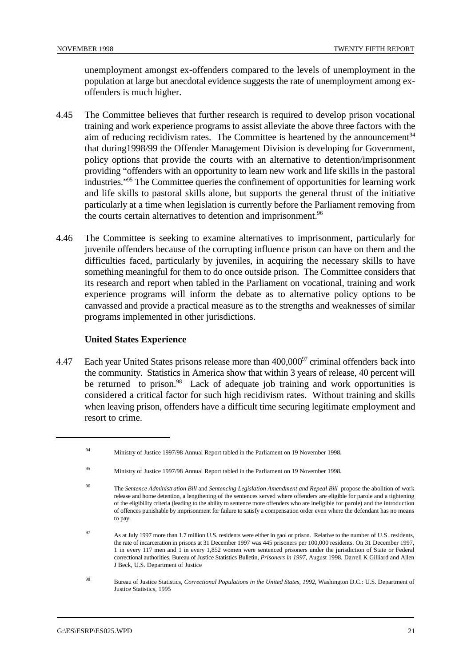unemployment amongst ex-offenders compared to the levels of unemployment in the population at large but anecdotal evidence suggests the rate of unemployment among exoffenders is much higher.

- 4.45 The Committee believes that further research is required to develop prison vocational training and work experience programs to assist alleviate the above three factors with the aim of reducing recidivism rates. The Committee is heartened by the announcement<sup>94</sup> that during1998/99 the Offender Management Division is developing for Government, policy options that provide the courts with an alternative to detention/imprisonment providing "offenders with an opportunity to learn new work and life skills in the pastoral industries."<sup>95</sup> The Committee queries the confinement of opportunities for learning work and life skills to pastoral skills alone, but supports the general thrust of the initiative particularly at a time when legislation is currently before the Parliament removing from the courts certain alternatives to detention and imprisonment.<sup>96</sup>
- 4.46 The Committee is seeking to examine alternatives to imprisonment, particularly for juvenile offenders because of the corrupting influence prison can have on them and the difficulties faced, particularly by juveniles, in acquiring the necessary skills to have something meaningful for them to do once outside prison. The Committee considers that its research and report when tabled in the Parliament on vocational, training and work experience programs will inform the debate as to alternative policy options to be canvassed and provide a practical measure as to the strengths and weaknesses of similar programs implemented in other jurisdictions.

# **United States Experience**

4.47 Each year United States prisons release more than  $400,000^{97}$  criminal offenders back into the community. Statistics in America show that within 3 years of release, 40 percent will be returned to prison.<sup>98</sup> Lack of adequate job training and work opportunities is considered a critical factor for such high recidivism rates. Without training and skills when leaving prison, offenders have a difficult time securing legitimate employment and resort to crime.

Ministry of Justice 1997/98 Annual Report tabled in the Parliament on 19 November 1998. <sup>94</sup>

Ministry of Justice 1997/98 Annual Report tabled in the Parliament on 19 November 1998.

The *Sentence Administration Bill* and *Sentencing Legislation Amendment and Repeal Bill* propose the abolition of work <sup>96</sup> release and home detention, a lengthening of the sentences served where offenders are eligible for parole and a tightening of the eligibility criteria (leading to the ability to sentence more offenders who are ineligible for parole) and the introduction of offences punishable by imprisonment for failure to satisfy a compensation order even where the defendant has no means to pay.

As at July 1997 more than 1.7 million U.S. residents were either in gaol or prison. Relative to the number of U.S. residents, <sup>97</sup> the rate of incarceration in prisons at 31 December 1997 was 445 prisoners per 100,000 residents. On 31 December 1997, 1 in every 117 men and 1 in every 1,852 women were sentenced prisoners under the jurisdiction of State or Federal correctional authorities. Bureau of Justice Statistics Bulletin, *Prisoners in 1997*, August 1998, Darrell K Gilliard and Allen J Beck, U.S. Department of Justice

Bureau of Justice Statistics, *Correctional Populations in the United States, 1992*, Washington D.C.: U.S. Department of <sup>98</sup> Justice Statistics, 1995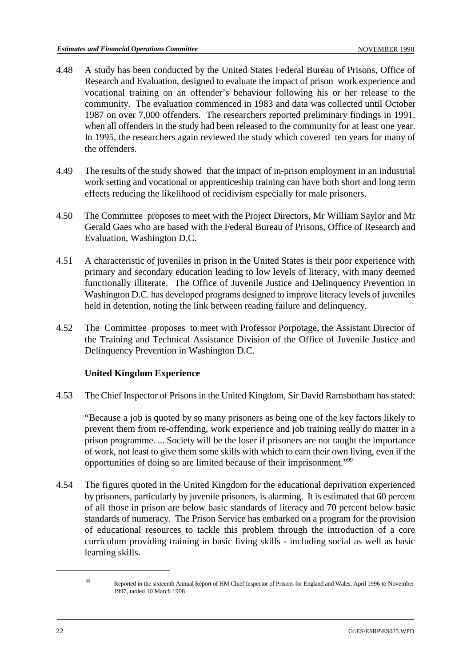- 4.48 A study has been conducted by the United States Federal Bureau of Prisons, Office of Research and Evaluation, designed to evaluate the impact of prison work experience and vocational training on an offender's behaviour following his or her release to the community. The evaluation commenced in 1983 and data was collected until October 1987 on over 7,000 offenders. The researchers reported preliminary findings in 1991, when all offenders in the study had been released to the community for at least one year. In 1995, the researchers again reviewed the study which covered ten years for many of the offenders.
- 4.49 The results of the study showed that the impact of in-prison employment in an industrial work setting and vocational or apprenticeship training can have both short and long term effects reducing the likelihood of recidivism especially for male prisoners.
- 4.50 The Committee proposes to meet with the Project Directors, Mr William Saylor and Mr Gerald Gaes who are based with the Federal Bureau of Prisons, Office of Research and Evaluation, Washington D.C.
- 4.51 A characteristic of juveniles in prison in the United States is their poor experience with primary and secondary education leading to low levels of literacy, with many deemed functionally illiterate. The Office of Juvenile Justice and Delinquency Prevention in Washington D.C. has developed programs designed to improve literacy levels of juveniles held in detention, noting the link between reading failure and delinquency.
- 4.52 The Committee proposes to meet with Professor Porpotage, the Assistant Director of the Training and Technical Assistance Division of the Office of Juvenile Justice and Delinquency Prevention in Washington D.C.

# **United Kingdom Experience**

4.53 The Chief Inspector of Prisons in the United Kingdom, Sir David Ramsbotham has stated:

"Because a job is quoted by so many prisoners as being one of the key factors likely to prevent them from re-offending, work experience and job training really do matter in a prison programme. ... Society will be the loser if prisoners are not taught the importance of work, not least to give them some skills with which to earn their own living, even if the opportunities of doing so are limited because of their imprisonment."99

4.54 The figures quoted in the United Kingdom for the educational deprivation experienced by prisoners, particularly by juvenile prisoners, is alarming. It is estimated that 60 percent of all those in prison are below basic standards of literacy and 70 percent below basic standards of numeracy. The Prison Service has embarked on a program for the provision of educational resources to tackle this problem through the introduction of a core curriculum providing training in basic living skills - including social as well as basic learning skills.

P<sub>99</sub> Reported in the sixteenth Annual Report of HM Chief Inspector of Prisons for England and Wales, April 1996 to November 1997, tabled 10 March 1998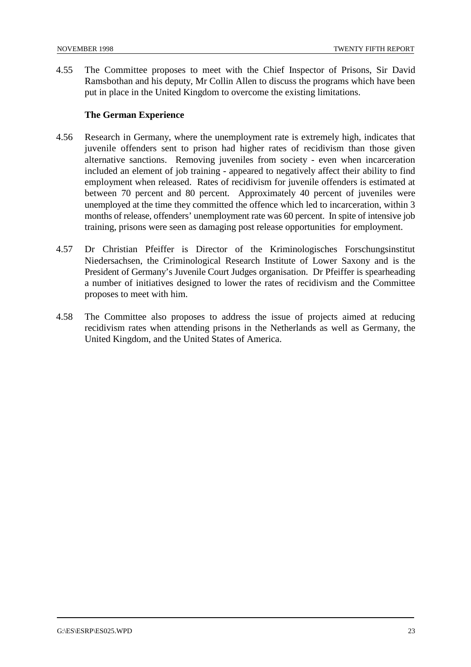4.55 The Committee proposes to meet with the Chief Inspector of Prisons, Sir David Ramsbothan and his deputy, Mr Collin Allen to discuss the programs which have been put in place in the United Kingdom to overcome the existing limitations.

# **The German Experience**

- 4.56 Research in Germany, where the unemployment rate is extremely high, indicates that juvenile offenders sent to prison had higher rates of recidivism than those given alternative sanctions. Removing juveniles from society - even when incarceration included an element of job training - appeared to negatively affect their ability to find employment when released. Rates of recidivism for juvenile offenders is estimated at between 70 percent and 80 percent. Approximately 40 percent of juveniles were unemployed at the time they committed the offence which led to incarceration, within 3 months of release, offenders' unemployment rate was 60 percent. In spite of intensive job training, prisons were seen as damaging post release opportunities for employment.
- 4.57 Dr Christian Pfeiffer is Director of the Kriminologisches Forschungsinstitut Niedersachsen, the Criminological Research Institute of Lower Saxony and is the President of Germany's Juvenile Court Judges organisation. Dr Pfeiffer is spearheading a number of initiatives designed to lower the rates of recidivism and the Committee proposes to meet with him.
- 4.58 The Committee also proposes to address the issue of projects aimed at reducing recidivism rates when attending prisons in the Netherlands as well as Germany, the United Kingdom, and the United States of America.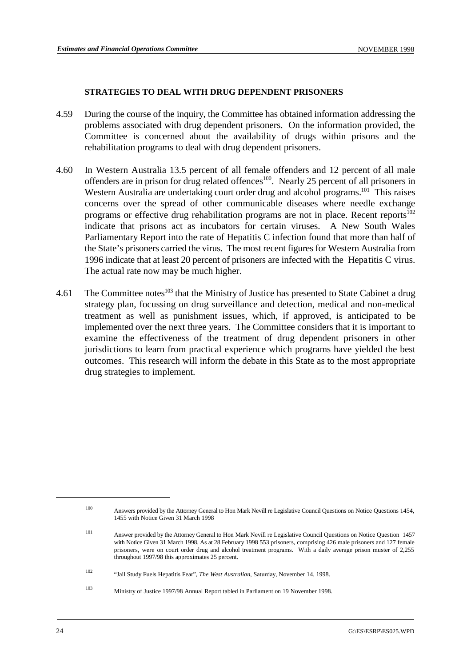#### **STRATEGIES TO DEAL WITH DRUG DEPENDENT PRISONERS**

- 4.59 During the course of the inquiry, the Committee has obtained information addressing the problems associated with drug dependent prisoners. On the information provided, the Committee is concerned about the availability of drugs within prisons and the rehabilitation programs to deal with drug dependent prisoners.
- 4.60 In Western Australia 13.5 percent of all female offenders and 12 percent of all male offenders are in prison for drug related offences<sup>100</sup>. Nearly 25 percent of all prisoners in Western Australia are undertaking court order drug and alcohol programs.<sup>101</sup> This raises concerns over the spread of other communicable diseases where needle exchange programs or effective drug rehabilitation programs are not in place. Recent reports<sup>102</sup> indicate that prisons act as incubators for certain viruses. A New South Wales Parliamentary Report into the rate of Hepatitis C infection found that more than half of the State's prisoners carried the virus. The most recent figures for Western Australia from 1996 indicate that at least 20 percent of prisoners are infected with the Hepatitis C virus. The actual rate now may be much higher.
- 4.61 The Committee notes  $103$  that the Ministry of Justice has presented to State Cabinet a drug strategy plan, focussing on drug surveillance and detection, medical and non-medical treatment as well as punishment issues, which, if approved, is anticipated to be implemented over the next three years. The Committee considers that it is important to examine the effectiveness of the treatment of drug dependent prisoners in other jurisdictions to learn from practical experience which programs have yielded the best outcomes. This research will inform the debate in this State as to the most appropriate drug strategies to implement.

Answers provided by the Attorney General to Hon Mark Nevill re Legislative Council Questions on Notice Questions 1454, <sup>100</sup> 1455 with Notice Given 31 March 1998

Answer provided by the Attorney General to Hon Mark Nevill re Legislative Council Questions on Notice Question 1457 <sup>101</sup> with Notice Given 31 March 1998. As at 28 February 1998 553 prisoners, comprising 426 male prisoners and 127 female prisoners, were on court order drug and alcohol treatment programs. With a daily average prison muster of 2,255 throughout 1997/98 this approximates 25 percent.

<sup>&</sup>lt;sup>102</sup> "Jail Study Fuels Hepatitis Fear", *The West Australian*, Saturday, November 14, 1998.

<sup>&</sup>lt;sup>103</sup> Ministry of Justice 1997/98 Annual Report tabled in Parliament on 19 November 1998.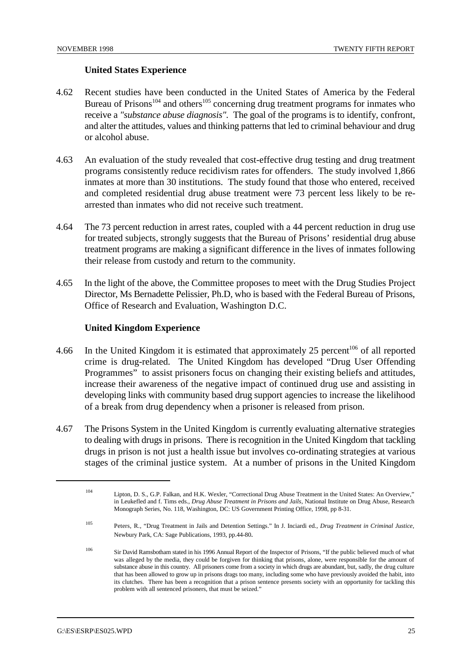#### **United States Experience**

- 4.62 Recent studies have been conducted in the United States of America by the Federal Bureau of Prisons<sup> $104$ </sup> and others<sup> $105$ </sup> concerning drug treatment programs for inmates who receive a *"substance abuse diagnosis".* The goal of the programs is to identify, confront, and alter the attitudes, values and thinking patterns that led to criminal behaviour and drug or alcohol abuse.
- 4.63 An evaluation of the study revealed that cost-effective drug testing and drug treatment programs consistently reduce recidivism rates for offenders. The study involved 1,866 inmates at more than 30 institutions. The study found that those who entered, received and completed residential drug abuse treatment were 73 percent less likely to be rearrested than inmates who did not receive such treatment.
- 4.64 The 73 percent reduction in arrest rates, coupled with a 44 percent reduction in drug use for treated subjects, strongly suggests that the Bureau of Prisons' residential drug abuse treatment programs are making a significant difference in the lives of inmates following their release from custody and return to the community.
- 4.65 In the light of the above, the Committee proposes to meet with the Drug Studies Project Director, Ms Bernadette Pelissier, Ph.D, who is based with the Federal Bureau of Prisons, Office of Research and Evaluation, Washington D.C.

# **United Kingdom Experience**

- 4.66 In the United Kingdom it is estimated that approximately 25 percent<sup>106</sup> of all reported crime is drug-related. The United Kingdom has developed "Drug User Offending Programmes" to assist prisoners focus on changing their existing beliefs and attitudes, increase their awareness of the negative impact of continued drug use and assisting in developing links with community based drug support agencies to increase the likelihood of a break from drug dependency when a prisoner is released from prison.
- 4.67 The Prisons System in the United Kingdom is currently evaluating alternative strategies to dealing with drugs in prisons. There is recognition in the United Kingdom that tackling drugs in prison is not just a health issue but involves co-ordinating strategies at various stages of the criminal justice system. At a number of prisons in the United Kingdom

Lipton, D. S., G.P. Falkan, and H.K. Wexler, "Correctional Drug Abuse Treatment in the United States: An Overview," <sup>104</sup> in Leukefled and f. Tims eds., *Drug Abuse Treatment in Prisons and Jails*, National Institute on Drug Abuse, Research Monograph Series, No. 118, Washington, DC: US Government Printing Office, 1998, pp 8-31.

Peters, R., "Drug Treatment in Jails and Detention Settings." In J. Inciardi ed., *Drug Treatment in Criminal Justice*, <sup>105</sup> Newbury Park, CA: Sage Publications, 1993, pp.44-80.

<sup>&</sup>lt;sup>106</sup> Sir David Ramsbotham stated in his 1996 Annual Report of the Inspector of Prisons, "If the public believed much of what was alleged by the media, they could be forgiven for thinking that prisons, alone, were responsible for the amount of substance abuse in this country. All prisoners come from a society in which drugs are abundant, but, sadly, the drug culture that has been allowed to grow up in prisons drags too many, including some who have previously avoided the habit, into its clutches. There has been a recognition that a prison sentence presents society with an opportunity for tackling this problem with all sentenced prisoners, that must be seized."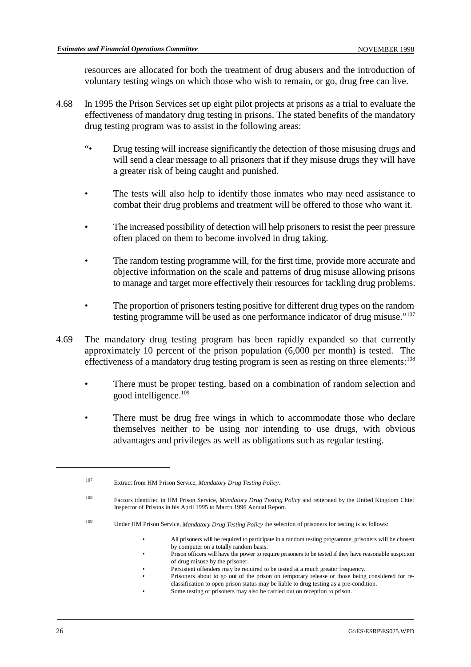resources are allocated for both the treatment of drug abusers and the introduction of voluntary testing wings on which those who wish to remain, or go, drug free can live.

- 4.68 In 1995 the Prison Services set up eight pilot projects at prisons as a trial to evaluate the effectiveness of mandatory drug testing in prisons. The stated benefits of the mandatory drug testing program was to assist in the following areas:
	- "• Drug testing will increase significantly the detection of those misusing drugs and will send a clear message to all prisoners that if they misuse drugs they will have a greater risk of being caught and punished.
	- The tests will also help to identify those inmates who may need assistance to combat their drug problems and treatment will be offered to those who want it.
	- The increased possibility of detection will help prisoners to resist the peer pressure often placed on them to become involved in drug taking.
	- The random testing programme will, for the first time, provide more accurate and objective information on the scale and patterns of drug misuse allowing prisons to manage and target more effectively their resources for tackling drug problems.
	- The proportion of prisoners testing positive for different drug types on the random testing programme will be used as one performance indicator of drug misuse."107
- 4.69 The mandatory drug testing program has been rapidly expanded so that currently approximately 10 percent of the prison population (6,000 per month) is tested. The effectiveness of a mandatory drug testing program is seen as resting on three elements:  $108$ 
	- There must be proper testing, based on a combination of random selection and good intelligence.109
	- There must be drug free wings in which to accommodate those who declare themselves neither to be using nor intending to use drugs, with obvious advantages and privileges as well as obligations such as regular testing.

- Persistent offenders may be required to be tested at a much greater frequency.
- Prisoners about to go out of the prison on temporary release or those being considered for reclassification to open prison status may be liable to drug testing as a pre-condition. Some testing of prisoners may also be carried out on reception to prison.

Extract from HM Prison Service, *Mandatory Drug Testing Policy*. <sup>107</sup>

Factors identified in HM Prison Service, *Mandatory Drug Testing Policy* and reiterated by the United Kingdom Chief <sup>108</sup> Inspector of Prisons in his April 1995 to March 1996 Annual Report.

Under HM Prison Service, *Mandatory Drug Testing Policy* the selection of prisoners for testing is as follows: <sup>109</sup>

<sup>•</sup> All prisoners will be required to participate in a random testing programme, prisoners will be chosen by computer on a totally random basis.

<sup>•</sup> Prison officers will have the power to require prisoners to be tested if they have reasonable suspicion of drug misuse by the prisoner.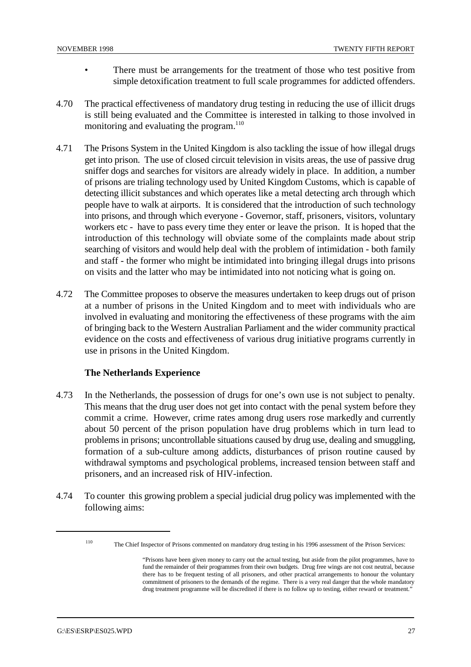- There must be arrangements for the treatment of those who test positive from simple detoxification treatment to full scale programmes for addicted offenders.
- 4.70 The practical effectiveness of mandatory drug testing in reducing the use of illicit drugs is still being evaluated and the Committee is interested in talking to those involved in monitoring and evaluating the program.<sup>110</sup>
- 4.71 The Prisons System in the United Kingdom is also tackling the issue of how illegal drugs get into prison. The use of closed circuit television in visits areas, the use of passive drug sniffer dogs and searches for visitors are already widely in place. In addition, a number of prisons are trialing technology used by United Kingdom Customs, which is capable of detecting illicit substances and which operates like a metal detecting arch through which people have to walk at airports. It is considered that the introduction of such technology into prisons, and through which everyone - Governor, staff, prisoners, visitors, voluntary workers etc - have to pass every time they enter or leave the prison. It is hoped that the introduction of this technology will obviate some of the complaints made about strip searching of visitors and would help deal with the problem of intimidation - both family and staff - the former who might be intimidated into bringing illegal drugs into prisons on visits and the latter who may be intimidated into not noticing what is going on.
- 4.72 The Committee proposes to observe the measures undertaken to keep drugs out of prison at a number of prisons in the United Kingdom and to meet with individuals who are involved in evaluating and monitoring the effectiveness of these programs with the aim of bringing back to the Western Australian Parliament and the wider community practical evidence on the costs and effectiveness of various drug initiative programs currently in use in prisons in the United Kingdom.

# **The Netherlands Experience**

- 4.73 In the Netherlands, the possession of drugs for one's own use is not subject to penalty. This means that the drug user does not get into contact with the penal system before they commit a crime. However, crime rates among drug users rose markedly and currently about 50 percent of the prison population have drug problems which in turn lead to problems in prisons; uncontrollable situations caused by drug use, dealing and smuggling, formation of a sub-culture among addicts, disturbances of prison routine caused by withdrawal symptoms and psychological problems, increased tension between staff and prisoners, and an increased risk of HIV-infection.
- 4.74 To counter this growing problem a special judicial drug policy was implemented with the following aims:

<sup>&</sup>lt;sup>110</sup> The Chief Inspector of Prisons commented on mandatory drug testing in his 1996 assessment of the Prison Services:

<sup>&</sup>quot;Prisons have been given money to carry out the actual testing, but aside from the pilot programmes, have to fund the remainder of their programmes from their own budgets. Drug free wings are not cost neutral, because there has to be frequent testing of all prisoners, and other practical arrangements to honour the voluntary commitment of prisoners to the demands of the regime. There is a very real danger that the whole mandatory drug treatment programme will be discredited if there is no follow up to testing, either reward or treatment."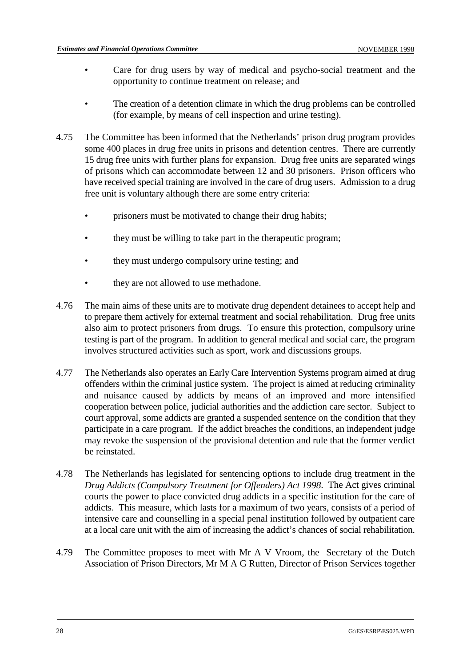- Care for drug users by way of medical and psycho-social treatment and the opportunity to continue treatment on release; and
- The creation of a detention climate in which the drug problems can be controlled (for example, by means of cell inspection and urine testing).
- 4.75 The Committee has been informed that the Netherlands' prison drug program provides some 400 places in drug free units in prisons and detention centres. There are currently 15 drug free units with further plans for expansion. Drug free units are separated wings of prisons which can accommodate between 12 and 30 prisoners. Prison officers who have received special training are involved in the care of drug users. Admission to a drug free unit is voluntary although there are some entry criteria:
	- prisoners must be motivated to change their drug habits;
	- they must be willing to take part in the therapeutic program;
	- they must undergo compulsory urine testing; and
	- they are not allowed to use methadone.
- 4.76 The main aims of these units are to motivate drug dependent detainees to accept help and to prepare them actively for external treatment and social rehabilitation. Drug free units also aim to protect prisoners from drugs. To ensure this protection, compulsory urine testing is part of the program. In addition to general medical and social care, the program involves structured activities such as sport, work and discussions groups.
- 4.77 The Netherlands also operates an Early Care Intervention Systems program aimed at drug offenders within the criminal justice system. The project is aimed at reducing criminality and nuisance caused by addicts by means of an improved and more intensified cooperation between police, judicial authorities and the addiction care sector. Subject to court approval, some addicts are granted a suspended sentence on the condition that they participate in a care program. If the addict breaches the conditions, an independent judge may revoke the suspension of the provisional detention and rule that the former verdict be reinstated.
- 4.78 The Netherlands has legislated for sentencing options to include drug treatment in the *Drug Addicts (Compulsory Treatment for Offenders) Act 1998*. The Act gives criminal courts the power to place convicted drug addicts in a specific institution for the care of addicts. This measure, which lasts for a maximum of two years, consists of a period of intensive care and counselling in a special penal institution followed by outpatient care at a local care unit with the aim of increasing the addict's chances of social rehabilitation.
- 4.79 The Committee proposes to meet with Mr A V Vroom, the Secretary of the Dutch Association of Prison Directors, Mr M A G Rutten, Director of Prison Services together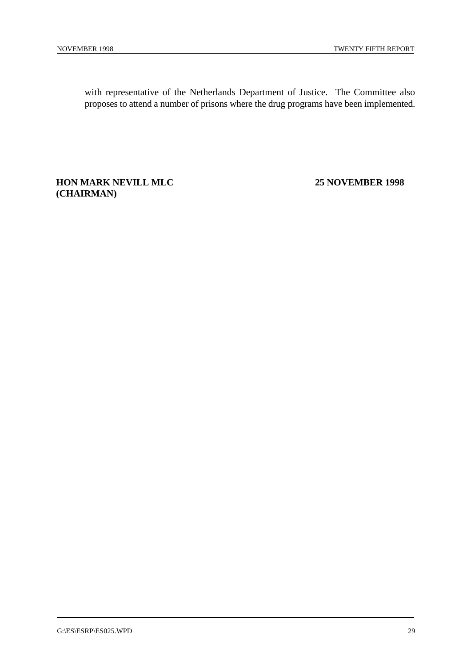with representative of the Netherlands Department of Justice. The Committee also proposes to attend a number of prisons where the drug programs have been implemented.

# **HON MARK NEVILL MLC 25 NOVEMBER 1998 (CHAIRMAN)**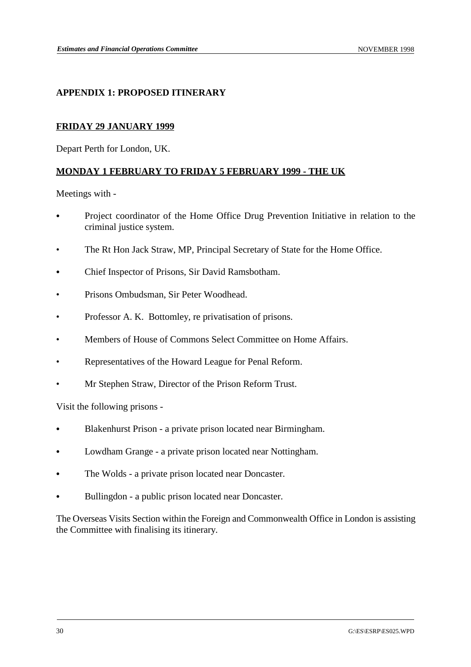# **APPENDIX 1: PROPOSED ITINERARY**

# **FRIDAY 29 JANUARY 1999**

Depart Perth for London, UK.

# **MONDAY 1 FEBRUARY TO FRIDAY 5 FEBRUARY 1999 - THE UK**

Meetings with -

- Project coordinator of the Home Office Drug Prevention Initiative in relation to the criminal justice system.
- The Rt Hon Jack Straw, MP, Principal Secretary of State for the Home Office.
- & Chief Inspector of Prisons, Sir David Ramsbotham.
- Prisons Ombudsman, Sir Peter Woodhead.
- Professor A. K. Bottomley, re privatisation of prisons.
- Members of House of Commons Select Committee on Home Affairs.
- Representatives of the Howard League for Penal Reform.
- Mr Stephen Straw, Director of the Prison Reform Trust.

Visit the following prisons -

- & Blakenhurst Prison a private prison located near Birmingham.
- Lowdham Grange a private prison located near Nottingham.
- The Wolds a private prison located near Doncaster.
- Bullingdon a public prison located near Doncaster.

The Overseas Visits Section within the Foreign and Commonwealth Office in London is assisting the Committee with finalising its itinerary.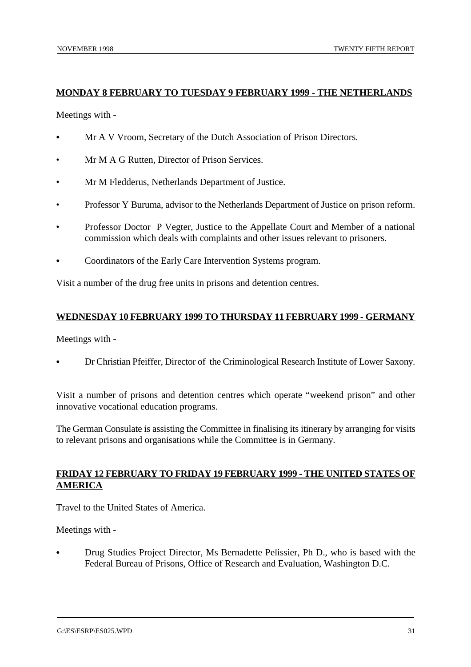# **MONDAY 8 FEBRUARY TO TUESDAY 9 FEBRUARY 1999 - THE NETHERLANDS**

Meetings with -

- Mr A V Vroom, Secretary of the Dutch Association of Prison Directors.
- Mr M A G Rutten, Director of Prison Services.
- Mr M Fledderus, Netherlands Department of Justice.
- Professor Y Buruma, advisor to the Netherlands Department of Justice on prison reform.
- Professor Doctor P Vegter, Justice to the Appellate Court and Member of a national commission which deals with complaints and other issues relevant to prisoners.
- Coordinators of the Early Care Intervention Systems program.

Visit a number of the drug free units in prisons and detention centres.

# **WEDNESDAY 10 FEBRUARY 1999 TO THURSDAY 11 FEBRUARY 1999 - GERMANY**

Meetings with -

& Dr Christian Pfeiffer, Director of the Criminological Research Institute of Lower Saxony.

Visit a number of prisons and detention centres which operate "weekend prison" and other innovative vocational education programs.

The German Consulate is assisting the Committee in finalising its itinerary by arranging for visits to relevant prisons and organisations while the Committee is in Germany.

# **FRIDAY 12 FEBRUARY TO FRIDAY 19 FEBRUARY 1999 - THE UNITED STATES OF AMERICA**

Travel to the United States of America.

Meetings with -

Drug Studies Project Director, Ms Bernadette Pelissier, Ph D., who is based with the Federal Bureau of Prisons, Office of Research and Evaluation, Washington D.C.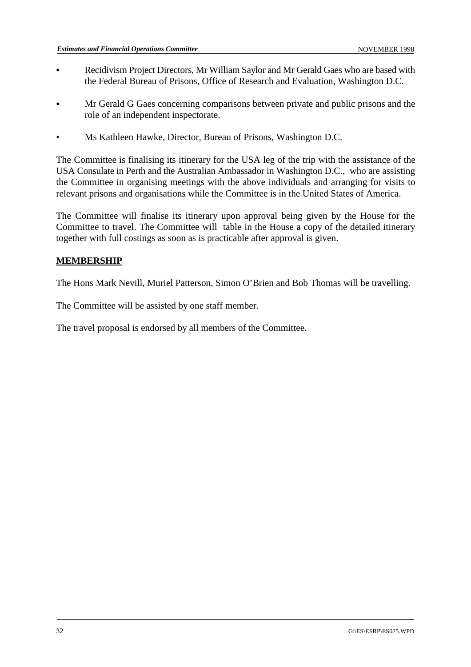- Recidivism Project Directors, Mr William Saylor and Mr Gerald Gaes who are based with the Federal Bureau of Prisons, Office of Research and Evaluation, Washington D.C.
- & Mr Gerald G Gaes concerning comparisons between private and public prisons and the role of an independent inspectorate.
- Ms Kathleen Hawke, Director, Bureau of Prisons, Washington D.C.

The Committee is finalising its itinerary for the USA leg of the trip with the assistance of the USA Consulate in Perth and the Australian Ambassador in Washington D.C., who are assisting the Committee in organising meetings with the above individuals and arranging for visits to relevant prisons and organisations while the Committee is in the United States of America.

The Committee will finalise its itinerary upon approval being given by the House for the Committee to travel. The Committee will table in the House a copy of the detailed itinerary together with full costings as soon as is practicable after approval is given.

# **MEMBERSHIP**

The Hons Mark Nevill, Muriel Patterson, Simon O'Brien and Bob Thomas will be travelling.

The Committee will be assisted by one staff member.

The travel proposal is endorsed by all members of the Committee.